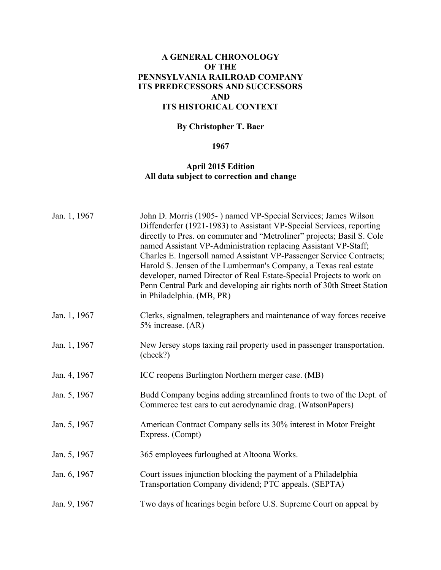## **A GENERAL CHRONOLOGY OF THE PENNSYLVANIA RAILROAD COMPANY ITS PREDECESSORS AND SUCCESSORS AND ITS HISTORICAL CONTEXT**

## **By Christopher T. Baer**

## **1967**

## **April 2015 Edition All data subject to correction and change**

| Jan. 1, 1967 | John D. Morris (1905-) named VP-Special Services; James Wilson<br>Diffenderfer (1921-1983) to Assistant VP-Special Services, reporting<br>directly to Pres. on commuter and "Metroliner" projects; Basil S. Cole<br>named Assistant VP-Administration replacing Assistant VP-Staff;<br>Charles E. Ingersoll named Assistant VP-Passenger Service Contracts;<br>Harold S. Jensen of the Lumberman's Company, a Texas real estate<br>developer, named Director of Real Estate-Special Projects to work on<br>Penn Central Park and developing air rights north of 30th Street Station<br>in Philadelphia. (MB, PR) |
|--------------|------------------------------------------------------------------------------------------------------------------------------------------------------------------------------------------------------------------------------------------------------------------------------------------------------------------------------------------------------------------------------------------------------------------------------------------------------------------------------------------------------------------------------------------------------------------------------------------------------------------|
| Jan. 1, 1967 | Clerks, signalmen, telegraphers and maintenance of way forces receive<br>5% increase. (AR)                                                                                                                                                                                                                                                                                                                                                                                                                                                                                                                       |
| Jan. 1, 1967 | New Jersey stops taxing rail property used in passenger transportation.<br>(check?)                                                                                                                                                                                                                                                                                                                                                                                                                                                                                                                              |
| Jan. 4, 1967 | ICC reopens Burlington Northern merger case. (MB)                                                                                                                                                                                                                                                                                                                                                                                                                                                                                                                                                                |
| Jan. 5, 1967 | Budd Company begins adding streamlined fronts to two of the Dept. of<br>Commerce test cars to cut aerodynamic drag. (WatsonPapers)                                                                                                                                                                                                                                                                                                                                                                                                                                                                               |
| Jan. 5, 1967 | American Contract Company sells its 30% interest in Motor Freight<br>Express. (Compt)                                                                                                                                                                                                                                                                                                                                                                                                                                                                                                                            |
| Jan. 5, 1967 | 365 employees furloughed at Altoona Works.                                                                                                                                                                                                                                                                                                                                                                                                                                                                                                                                                                       |
| Jan. 6, 1967 | Court issues injunction blocking the payment of a Philadelphia<br>Transportation Company dividend; PTC appeals. (SEPTA)                                                                                                                                                                                                                                                                                                                                                                                                                                                                                          |
| Jan. 9, 1967 | Two days of hearings begin before U.S. Supreme Court on appeal by                                                                                                                                                                                                                                                                                                                                                                                                                                                                                                                                                |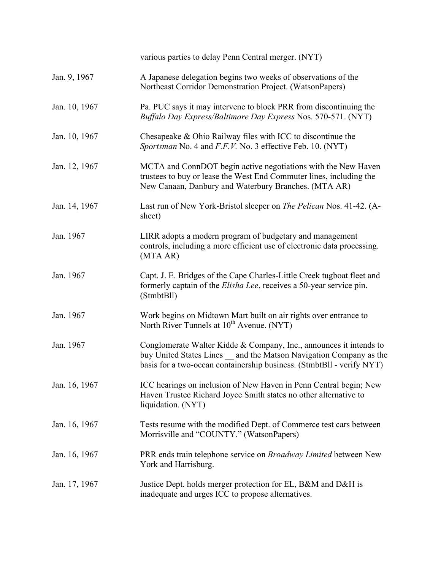|               | various parties to delay Penn Central merger. (NYT)                                                                                                                                                               |
|---------------|-------------------------------------------------------------------------------------------------------------------------------------------------------------------------------------------------------------------|
| Jan. 9, 1967  | A Japanese delegation begins two weeks of observations of the<br>Northeast Corridor Demonstration Project. (WatsonPapers)                                                                                         |
| Jan. 10, 1967 | Pa. PUC says it may intervene to block PRR from discontinuing the<br>Buffalo Day Express/Baltimore Day Express Nos. 570-571. (NYT)                                                                                |
| Jan. 10, 1967 | Chesapeake $& Ohio$ Railway files with ICC to discontinue the<br>Sportsman No. 4 and F.F.V. No. 3 effective Feb. 10. (NYT)                                                                                        |
| Jan. 12, 1967 | MCTA and ConnDOT begin active negotiations with the New Haven<br>trustees to buy or lease the West End Commuter lines, including the<br>New Canaan, Danbury and Waterbury Branches. (MTA AR)                      |
| Jan. 14, 1967 | Last run of New York-Bristol sleeper on <i>The Pelican</i> Nos. 41-42. (A-<br>sheet)                                                                                                                              |
| Jan. 1967     | LIRR adopts a modern program of budgetary and management<br>controls, including a more efficient use of electronic data processing.<br>(MTA AR)                                                                   |
| Jan. 1967     | Capt. J. E. Bridges of the Cape Charles-Little Creek tugboat fleet and<br>formerly captain of the <i>Elisha Lee</i> , receives a 50-year service pin.<br>(StmbtBll)                                               |
| Jan. 1967     | Work begins on Midtown Mart built on air rights over entrance to<br>North River Tunnels at 10 <sup>th</sup> Avenue. (NYT)                                                                                         |
| Jan. 1967     | Conglomerate Walter Kidde & Company, Inc., announces it intends to<br>buy United States Lines _ and the Matson Navigation Company as the<br>basis for a two-ocean containership business. (StmbtBll - verify NYT) |
| Jan. 16, 1967 | ICC hearings on inclusion of New Haven in Penn Central begin; New<br>Haven Trustee Richard Joyce Smith states no other alternative to<br>liquidation. (NYT)                                                       |
| Jan. 16, 1967 | Tests resume with the modified Dept. of Commerce test cars between<br>Morrisville and "COUNTY." (WatsonPapers)                                                                                                    |
| Jan. 16, 1967 | PRR ends train telephone service on <i>Broadway Limited</i> between New<br>York and Harrisburg.                                                                                                                   |
| Jan. 17, 1967 | Justice Dept. holds merger protection for EL, B&M and D&H is<br>inadequate and urges ICC to propose alternatives.                                                                                                 |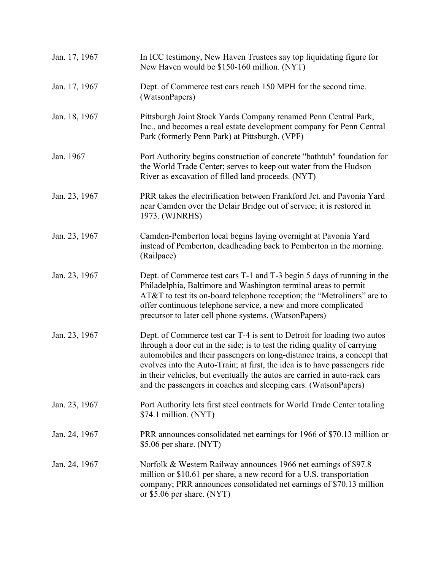| Jan. 17, 1967 | In ICC testimony, New Haven Trustees say top liquidating figure for<br>New Haven would be \$150-160 million. (NYT)                                                                                                                                                                                                                                                                                                                                             |
|---------------|----------------------------------------------------------------------------------------------------------------------------------------------------------------------------------------------------------------------------------------------------------------------------------------------------------------------------------------------------------------------------------------------------------------------------------------------------------------|
| Jan. 17, 1967 | Dept. of Commerce test cars reach 150 MPH for the second time.<br>(WatsonPapers)                                                                                                                                                                                                                                                                                                                                                                               |
| Jan. 18, 1967 | Pittsburgh Joint Stock Yards Company renamed Penn Central Park,<br>Inc., and becomes a real estate development company for Penn Central<br>Park (formerly Penn Park) at Pittsburgh. (VPF)                                                                                                                                                                                                                                                                      |
| Jan. 1967     | Port Authority begins construction of concrete "bathtub" foundation for<br>the World Trade Center; serves to keep out water from the Hudson<br>River as excavation of filled land proceeds. (NYT)                                                                                                                                                                                                                                                              |
| Jan. 23, 1967 | PRR takes the electrification between Frankford Jct. and Pavonia Yard<br>near Camden over the Delair Bridge out of service; it is restored in<br>1973. (WJNRHS)                                                                                                                                                                                                                                                                                                |
| Jan. 23, 1967 | Camden-Pemberton local begins laying overnight at Pavonia Yard<br>instead of Pemberton, deadheading back to Pemberton in the morning.<br>(Railpace)                                                                                                                                                                                                                                                                                                            |
| Jan. 23, 1967 | Dept. of Commerce test cars T-1 and T-3 begin 5 days of running in the<br>Philadelphia, Baltimore and Washington terminal areas to permit<br>AT&T to test its on-board telephone reception; the "Metroliners" are to<br>offer continuous telephone service, a new and more complicated<br>precursor to later cell phone systems. (WatsonPapers)                                                                                                                |
| Jan. 23, 1967 | Dept. of Commerce test car T-4 is sent to Detroit for loading two autos<br>through a door cut in the side; is to test the riding quality of carrying<br>automobiles and their passengers on long-distance trains, a concept that<br>evolves into the Auto-Train; at first, the idea is to have passengers ride<br>in their vehicles, but eventually the autos are carried in auto-rack cars<br>and the passengers in coaches and sleeping cars. (WatsonPapers) |
| Jan. 23, 1967 | Port Authority lets first steel contracts for World Trade Center totaling<br>\$74.1 million. (NYT)                                                                                                                                                                                                                                                                                                                                                             |
| Jan. 24, 1967 | PRR announces consolidated net earnings for 1966 of \$70.13 million or<br>\$5.06 per share. (NYT)                                                                                                                                                                                                                                                                                                                                                              |
| Jan. 24, 1967 | Norfolk & Western Railway announces 1966 net earnings of \$97.8<br>million or \$10.61 per share, a new record for a U.S. transportation<br>company; PRR announces consolidated net earnings of \$70.13 million<br>or \$5.06 per share. (NYT)                                                                                                                                                                                                                   |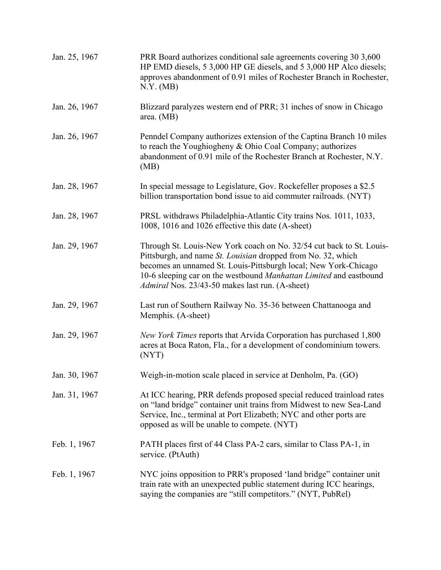| Jan. 25, 1967 | PRR Board authorizes conditional sale agreements covering 30 3,600<br>HP EMD diesels, 5 3,000 HP GE diesels, and 5 3,000 HP Alco diesels;<br>approves abandonment of 0.91 miles of Rochester Branch in Rochester,<br>N.Y. (MB)                                                                                                          |
|---------------|-----------------------------------------------------------------------------------------------------------------------------------------------------------------------------------------------------------------------------------------------------------------------------------------------------------------------------------------|
| Jan. 26, 1967 | Blizzard paralyzes western end of PRR; 31 inches of snow in Chicago<br>area. (MB)                                                                                                                                                                                                                                                       |
| Jan. 26, 1967 | Penndel Company authorizes extension of the Captina Branch 10 miles<br>to reach the Youghiogheny & Ohio Coal Company; authorizes<br>abandonment of 0.91 mile of the Rochester Branch at Rochester, N.Y.<br>(MB)                                                                                                                         |
| Jan. 28, 1967 | In special message to Legislature, Gov. Rockefeller proposes a \$2.5<br>billion transportation bond issue to aid commuter railroads. (NYT)                                                                                                                                                                                              |
| Jan. 28, 1967 | PRSL withdraws Philadelphia-Atlantic City trains Nos. 1011, 1033,<br>1008, 1016 and 1026 effective this date (A-sheet)                                                                                                                                                                                                                  |
| Jan. 29, 1967 | Through St. Louis-New York coach on No. 32/54 cut back to St. Louis-<br>Pittsburgh, and name St. Louisian dropped from No. 32, which<br>becomes an unnamed St. Louis-Pittsburgh local; New York-Chicago<br>10-6 sleeping car on the westbound Manhattan Limited and eastbound<br><i>Admiral</i> Nos. 23/43-50 makes last run. (A-sheet) |
| Jan. 29, 1967 | Last run of Southern Railway No. 35-36 between Chattanooga and<br>Memphis. (A-sheet)                                                                                                                                                                                                                                                    |
| Jan. 29, 1967 | New York Times reports that Arvida Corporation has purchased 1,800<br>acres at Boca Raton, Fla., for a development of condominium towers.<br>(NYT)                                                                                                                                                                                      |
| Jan. 30, 1967 | Weigh-in-motion scale placed in service at Denholm, Pa. (GO)                                                                                                                                                                                                                                                                            |
| Jan. 31, 1967 | At ICC hearing, PRR defends proposed special reduced trainload rates<br>on "land bridge" container unit trains from Midwest to new Sea-Land<br>Service, Inc., terminal at Port Elizabeth; NYC and other ports are<br>opposed as will be unable to compete. (NYT)                                                                        |
| Feb. 1, 1967  | PATH places first of 44 Class PA-2 cars, similar to Class PA-1, in<br>service. (PtAuth)                                                                                                                                                                                                                                                 |
| Feb. 1, 1967  | NYC joins opposition to PRR's proposed 'land bridge'' container unit<br>train rate with an unexpected public statement during ICC hearings,<br>saying the companies are "still competitors." (NYT, PubRel)                                                                                                                              |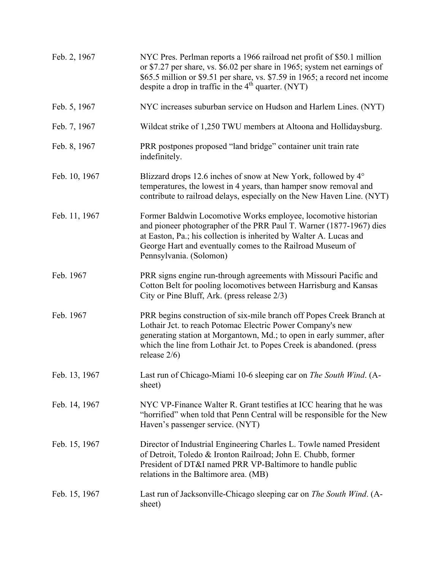| Feb. 2, 1967  | NYC Pres. Perlman reports a 1966 railroad net profit of \$50.1 million<br>or \$7.27 per share, vs. \$6.02 per share in 1965; system net earnings of<br>\$65.5 million or \$9.51 per share, vs. \$7.59 in 1965; a record net income<br>despite a drop in traffic in the 4 <sup>th</sup> quarter. (NYT)  |
|---------------|--------------------------------------------------------------------------------------------------------------------------------------------------------------------------------------------------------------------------------------------------------------------------------------------------------|
| Feb. 5, 1967  | NYC increases suburban service on Hudson and Harlem Lines. (NYT)                                                                                                                                                                                                                                       |
| Feb. 7, 1967  | Wildcat strike of 1,250 TWU members at Altoona and Hollidaysburg.                                                                                                                                                                                                                                      |
| Feb. 8, 1967  | PRR postpones proposed "land bridge" container unit train rate<br>indefinitely.                                                                                                                                                                                                                        |
| Feb. 10, 1967 | Blizzard drops 12.6 inches of snow at New York, followed by 4°<br>temperatures, the lowest in 4 years, than hamper snow removal and<br>contribute to railroad delays, especially on the New Haven Line. (NYT)                                                                                          |
| Feb. 11, 1967 | Former Baldwin Locomotive Works employee, locomotive historian<br>and pioneer photographer of the PRR Paul T. Warner (1877-1967) dies<br>at Easton, Pa.; his collection is inherited by Walter A. Lucas and<br>George Hart and eventually comes to the Railroad Museum of<br>Pennsylvania. (Solomon)   |
| Feb. 1967     | PRR signs engine run-through agreements with Missouri Pacific and<br>Cotton Belt for pooling locomotives between Harrisburg and Kansas<br>City or Pine Bluff, Ark. (press release 2/3)                                                                                                                 |
| Feb. 1967     | PRR begins construction of six-mile branch off Popes Creek Branch at<br>Lothair Jct. to reach Potomac Electric Power Company's new<br>generating station at Morgantown, Md.; to open in early summer, after<br>which the line from Lothair Jct. to Popes Creek is abandoned. (press<br>release $2/6$ ) |
| Feb. 13, 1967 | Last run of Chicago-Miami 10-6 sleeping car on The South Wind. (A-<br>sheet)                                                                                                                                                                                                                           |
| Feb. 14, 1967 | NYC VP-Finance Walter R. Grant testifies at ICC hearing that he was<br>"horrified" when told that Penn Central will be responsible for the New<br>Haven's passenger service. (NYT)                                                                                                                     |
| Feb. 15, 1967 | Director of Industrial Engineering Charles L. Towle named President<br>of Detroit, Toledo & Ironton Railroad; John E. Chubb, former<br>President of DT&I named PRR VP-Baltimore to handle public<br>relations in the Baltimore area. (MB)                                                              |
| Feb. 15, 1967 | Last run of Jacksonville-Chicago sleeping car on The South Wind. (A-<br>sheet)                                                                                                                                                                                                                         |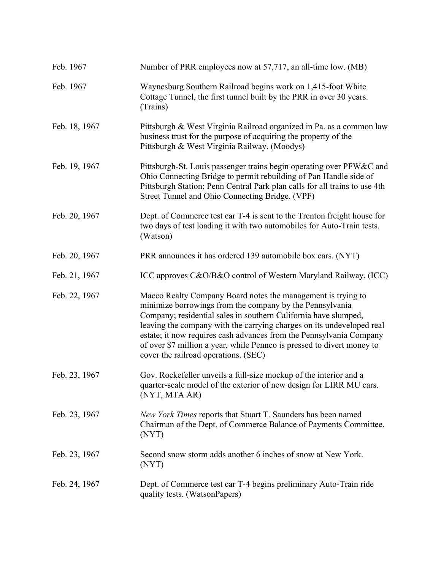| Feb. 1967     | Number of PRR employees now at 57,717, an all-time low. (MB)                                                                                                                                                                                                                                                                                                                                                                                                  |
|---------------|---------------------------------------------------------------------------------------------------------------------------------------------------------------------------------------------------------------------------------------------------------------------------------------------------------------------------------------------------------------------------------------------------------------------------------------------------------------|
| Feb. 1967     | Waynesburg Southern Railroad begins work on 1,415-foot White<br>Cottage Tunnel, the first tunnel built by the PRR in over 30 years.<br>(Trains)                                                                                                                                                                                                                                                                                                               |
| Feb. 18, 1967 | Pittsburgh & West Virginia Railroad organized in Pa. as a common law<br>business trust for the purpose of acquiring the property of the<br>Pittsburgh & West Virginia Railway. (Moodys)                                                                                                                                                                                                                                                                       |
| Feb. 19, 1967 | Pittsburgh-St. Louis passenger trains begin operating over PFW&C and<br>Ohio Connecting Bridge to permit rebuilding of Pan Handle side of<br>Pittsburgh Station; Penn Central Park plan calls for all trains to use 4th<br>Street Tunnel and Ohio Connecting Bridge. (VPF)                                                                                                                                                                                    |
| Feb. 20, 1967 | Dept. of Commerce test car T-4 is sent to the Trenton freight house for<br>two days of test loading it with two automobiles for Auto-Train tests.<br>(Watson)                                                                                                                                                                                                                                                                                                 |
| Feb. 20, 1967 | PRR announces it has ordered 139 automobile box cars. (NYT)                                                                                                                                                                                                                                                                                                                                                                                                   |
| Feb. 21, 1967 | ICC approves C&O/B&O control of Western Maryland Railway. (ICC)                                                                                                                                                                                                                                                                                                                                                                                               |
| Feb. 22, 1967 | Macco Realty Company Board notes the management is trying to<br>minimize borrowings from the company by the Pennsylvania<br>Company; residential sales in southern California have slumped,<br>leaving the company with the carrying charges on its undeveloped real<br>estate; it now requires cash advances from the Pennsylvania Company<br>of over \$7 million a year, while Pennco is pressed to divert money to<br>cover the railroad operations. (SEC) |
| Feb. 23, 1967 | Gov. Rockefeller unveils a full-size mockup of the interior and a<br>quarter-scale model of the exterior of new design for LIRR MU cars.<br>(NYT, MTA AR)                                                                                                                                                                                                                                                                                                     |
| Feb. 23, 1967 | <i>New York Times</i> reports that Stuart T. Saunders has been named<br>Chairman of the Dept. of Commerce Balance of Payments Committee.<br>(NYT)                                                                                                                                                                                                                                                                                                             |
| Feb. 23, 1967 | Second snow storm adds another 6 inches of snow at New York.<br>(NYT)                                                                                                                                                                                                                                                                                                                                                                                         |
| Feb. 24, 1967 | Dept. of Commerce test car T-4 begins preliminary Auto-Train ride<br>quality tests. (WatsonPapers)                                                                                                                                                                                                                                                                                                                                                            |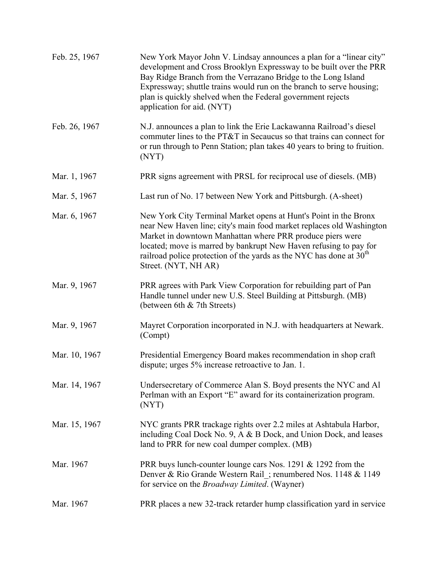| Feb. 25, 1967 | New York Mayor John V. Lindsay announces a plan for a "linear city"<br>development and Cross Brooklyn Expressway to be built over the PRR<br>Bay Ridge Branch from the Verrazano Bridge to the Long Island<br>Expressway; shuttle trains would run on the branch to serve housing;<br>plan is quickly shelved when the Federal government rejects<br>application for aid. (NYT) |
|---------------|---------------------------------------------------------------------------------------------------------------------------------------------------------------------------------------------------------------------------------------------------------------------------------------------------------------------------------------------------------------------------------|
| Feb. 26, 1967 | N.J. announces a plan to link the Erie Lackawanna Railroad's diesel<br>commuter lines to the PT&T in Secaucus so that trains can connect for<br>or run through to Penn Station; plan takes 40 years to bring to fruition.<br>(NYT)                                                                                                                                              |
| Mar. 1, 1967  | PRR signs agreement with PRSL for reciprocal use of diesels. (MB)                                                                                                                                                                                                                                                                                                               |
| Mar. 5, 1967  | Last run of No. 17 between New York and Pittsburgh. (A-sheet)                                                                                                                                                                                                                                                                                                                   |
| Mar. 6, 1967  | New York City Terminal Market opens at Hunt's Point in the Bronx<br>near New Haven line; city's main food market replaces old Washington<br>Market in downtown Manhattan where PRR produce piers were<br>located; move is marred by bankrupt New Haven refusing to pay for<br>railroad police protection of the yards as the NYC has done at $30th$<br>Street. (NYT, NH AR)     |
| Mar. 9, 1967  | PRR agrees with Park View Corporation for rebuilding part of Pan<br>Handle tunnel under new U.S. Steel Building at Pittsburgh. (MB)<br>(between 6th & 7th Streets)                                                                                                                                                                                                              |
| Mar. 9, 1967  | Mayret Corporation incorporated in N.J. with headquarters at Newark.<br>(Compt)                                                                                                                                                                                                                                                                                                 |
| Mar. 10, 1967 | Presidential Emergency Board makes recommendation in shop craft<br>dispute; urges 5% increase retroactive to Jan. 1.                                                                                                                                                                                                                                                            |
| Mar. 14, 1967 | Undersecretary of Commerce Alan S. Boyd presents the NYC and Al<br>Perlman with an Export "E" award for its containerization program.<br>(NYT)                                                                                                                                                                                                                                  |
| Mar. 15, 1967 | NYC grants PRR trackage rights over 2.2 miles at Ashtabula Harbor,<br>including Coal Dock No. 9, A & B Dock, and Union Dock, and leases<br>land to PRR for new coal dumper complex. (MB)                                                                                                                                                                                        |
| Mar. 1967     | PRR buys lunch-counter lounge cars Nos. 1291 $&$ 1292 from the<br>Denver & Rio Grande Western Rail_; renumbered Nos. 1148 & 1149<br>for service on the <i>Broadway Limited</i> . (Wayner)                                                                                                                                                                                       |
| Mar. 1967     | PRR places a new 32-track retarder hump classification yard in service                                                                                                                                                                                                                                                                                                          |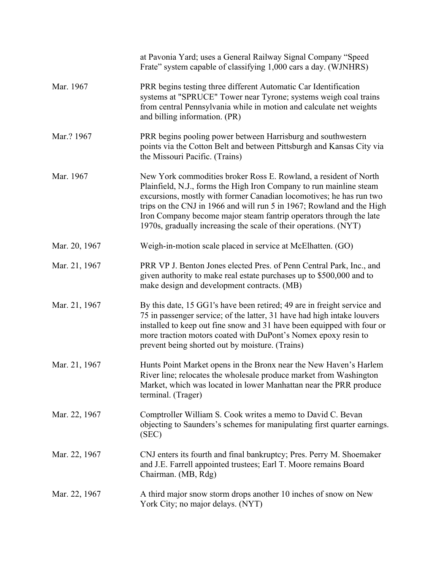|               | at Pavonia Yard; uses a General Railway Signal Company "Speed<br>Frate" system capable of classifying 1,000 cars a day. (WJNHRS)                                                                                                                                                                                                                                                                                                  |
|---------------|-----------------------------------------------------------------------------------------------------------------------------------------------------------------------------------------------------------------------------------------------------------------------------------------------------------------------------------------------------------------------------------------------------------------------------------|
| Mar. 1967     | PRR begins testing three different Automatic Car Identification<br>systems at "SPRUCE" Tower near Tyrone; systems weigh coal trains<br>from central Pennsylvania while in motion and calculate net weights<br>and billing information. (PR)                                                                                                                                                                                       |
| Mar.? 1967    | PRR begins pooling power between Harrisburg and southwestern<br>points via the Cotton Belt and between Pittsburgh and Kansas City via<br>the Missouri Pacific. (Trains)                                                                                                                                                                                                                                                           |
| Mar. 1967     | New York commodities broker Ross E. Rowland, a resident of North<br>Plainfield, N.J., forms the High Iron Company to run mainline steam<br>excursions, mostly with former Canadian locomotives; he has run two<br>trips on the CNJ in 1966 and will run 5 in 1967; Rowland and the High<br>Iron Company become major steam fantrip operators through the late<br>1970s, gradually increasing the scale of their operations. (NYT) |
| Mar. 20, 1967 | Weigh-in-motion scale placed in service at McElhatten. (GO)                                                                                                                                                                                                                                                                                                                                                                       |
| Mar. 21, 1967 | PRR VP J. Benton Jones elected Pres. of Penn Central Park, Inc., and<br>given authority to make real estate purchases up to \$500,000 and to<br>make design and development contracts. (MB)                                                                                                                                                                                                                                       |
| Mar. 21, 1967 | By this date, 15 GG1's have been retired; 49 are in freight service and<br>75 in passenger service; of the latter, 31 have had high intake louvers<br>installed to keep out fine snow and 31 have been equipped with four or<br>more traction motors coated with DuPont's Nomex epoxy resin to<br>prevent being shorted out by moisture. (Trains)                                                                                 |
| Mar. 21, 1967 | Hunts Point Market opens in the Bronx near the New Haven's Harlem<br>River line; relocates the wholesale produce market from Washington<br>Market, which was located in lower Manhattan near the PRR produce<br>terminal. (Trager)                                                                                                                                                                                                |
| Mar. 22, 1967 | Comptroller William S. Cook writes a memo to David C. Bevan<br>objecting to Saunders's schemes for manipulating first quarter earnings.<br>(SEC)                                                                                                                                                                                                                                                                                  |
| Mar. 22, 1967 | CNJ enters its fourth and final bankruptcy; Pres. Perry M. Shoemaker<br>and J.E. Farrell appointed trustees; Earl T. Moore remains Board<br>Chairman. (MB, Rdg)                                                                                                                                                                                                                                                                   |
| Mar. 22, 1967 | A third major snow storm drops another 10 inches of snow on New<br>York City; no major delays. (NYT)                                                                                                                                                                                                                                                                                                                              |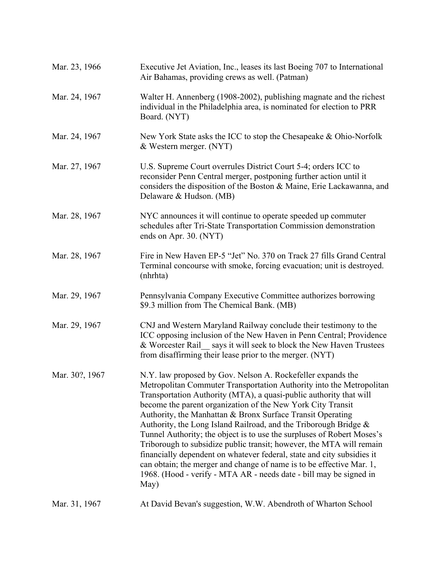| Mar. 23, 1966  | Executive Jet Aviation, Inc., leases its last Boeing 707 to International<br>Air Bahamas, providing crews as well. (Patman)                                                                                                                                                                                                                                                                                                                                                                                                                                                                                                                                                                                                                                                                  |
|----------------|----------------------------------------------------------------------------------------------------------------------------------------------------------------------------------------------------------------------------------------------------------------------------------------------------------------------------------------------------------------------------------------------------------------------------------------------------------------------------------------------------------------------------------------------------------------------------------------------------------------------------------------------------------------------------------------------------------------------------------------------------------------------------------------------|
| Mar. 24, 1967  | Walter H. Annenberg (1908-2002), publishing magnate and the richest<br>individual in the Philadelphia area, is nominated for election to PRR<br>Board. (NYT)                                                                                                                                                                                                                                                                                                                                                                                                                                                                                                                                                                                                                                 |
| Mar. 24, 1967  | New York State asks the ICC to stop the Chesapeake & Ohio-Norfolk<br>& Western merger. (NYT)                                                                                                                                                                                                                                                                                                                                                                                                                                                                                                                                                                                                                                                                                                 |
| Mar. 27, 1967  | U.S. Supreme Court overrules District Court 5-4; orders ICC to<br>reconsider Penn Central merger, postponing further action until it<br>considers the disposition of the Boston $\&$ Maine, Erie Lackawanna, and<br>Delaware & Hudson. (MB)                                                                                                                                                                                                                                                                                                                                                                                                                                                                                                                                                  |
| Mar. 28, 1967  | NYC announces it will continue to operate speeded up commuter<br>schedules after Tri-State Transportation Commission demonstration<br>ends on Apr. 30. (NYT)                                                                                                                                                                                                                                                                                                                                                                                                                                                                                                                                                                                                                                 |
| Mar. 28, 1967  | Fire in New Haven EP-5 "Jet" No. 370 on Track 27 fills Grand Central<br>Terminal concourse with smoke, forcing evacuation; unit is destroyed.<br>(nhrhta)                                                                                                                                                                                                                                                                                                                                                                                                                                                                                                                                                                                                                                    |
| Mar. 29, 1967  | Pennsylvania Company Executive Committee authorizes borrowing<br>\$9.3 million from The Chemical Bank. (MB)                                                                                                                                                                                                                                                                                                                                                                                                                                                                                                                                                                                                                                                                                  |
| Mar. 29, 1967  | CNJ and Western Maryland Railway conclude their testimony to the<br>ICC opposing inclusion of the New Haven in Penn Central; Providence<br>& Worcester Rail_says it will seek to block the New Haven Trustees<br>from disaffirming their lease prior to the merger. (NYT)                                                                                                                                                                                                                                                                                                                                                                                                                                                                                                                    |
| Mar. 30?, 1967 | N.Y. law proposed by Gov. Nelson A. Rockefeller expands the<br>Metropolitan Commuter Transportation Authority into the Metropolitan<br>Transportation Authority (MTA), a quasi-public authority that will<br>become the parent organization of the New York City Transit<br>Authority, the Manhattan & Bronx Surface Transit Operating<br>Authority, the Long Island Railroad, and the Triborough Bridge &<br>Tunnel Authority; the object is to use the surpluses of Robert Moses's<br>Triborough to subsidize public transit; however, the MTA will remain<br>financially dependent on whatever federal, state and city subsidies it<br>can obtain; the merger and change of name is to be effective Mar. 1,<br>1968. (Hood - verify - MTA AR - needs date - bill may be signed in<br>May) |
| Mar. 31, 1967  | At David Bevan's suggestion, W.W. Abendroth of Wharton School                                                                                                                                                                                                                                                                                                                                                                                                                                                                                                                                                                                                                                                                                                                                |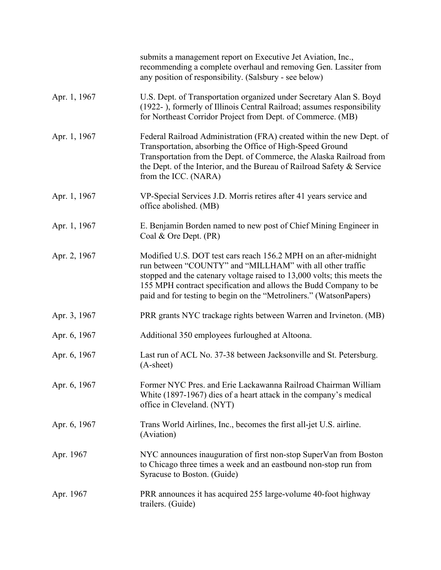|              | submits a management report on Executive Jet Aviation, Inc.,<br>recommending a complete overhaul and removing Gen. Lassiter from<br>any position of responsibility. (Salsbury - see below)                                                                                                                                                         |
|--------------|----------------------------------------------------------------------------------------------------------------------------------------------------------------------------------------------------------------------------------------------------------------------------------------------------------------------------------------------------|
| Apr. 1, 1967 | U.S. Dept. of Transportation organized under Secretary Alan S. Boyd<br>(1922-), formerly of Illinois Central Railroad; assumes responsibility<br>for Northeast Corridor Project from Dept. of Commerce. (MB)                                                                                                                                       |
| Apr. 1, 1967 | Federal Railroad Administration (FRA) created within the new Dept. of<br>Transportation, absorbing the Office of High-Speed Ground<br>Transportation from the Dept. of Commerce, the Alaska Railroad from<br>the Dept. of the Interior, and the Bureau of Railroad Safety & Service<br>from the ICC. (NARA)                                        |
| Apr. 1, 1967 | VP-Special Services J.D. Morris retires after 41 years service and<br>office abolished. (MB)                                                                                                                                                                                                                                                       |
| Apr. 1, 1967 | E. Benjamin Borden named to new post of Chief Mining Engineer in<br>Coal & Ore Dept. (PR)                                                                                                                                                                                                                                                          |
| Apr. 2, 1967 | Modified U.S. DOT test cars reach 156.2 MPH on an after-midnight<br>run between "COUNTY" and "MILLHAM" with all other traffic<br>stopped and the catenary voltage raised to 13,000 volts; this meets the<br>155 MPH contract specification and allows the Budd Company to be<br>paid and for testing to begin on the "Metroliners." (WatsonPapers) |
| Apr. 3, 1967 | PRR grants NYC trackage rights between Warren and Irvineton. (MB)                                                                                                                                                                                                                                                                                  |
| Apr. 6, 1967 | Additional 350 employees furloughed at Altoona.                                                                                                                                                                                                                                                                                                    |
| Apr. 6, 1967 | Last run of ACL No. 37-38 between Jacksonville and St. Petersburg.<br>$(A-sheet)$                                                                                                                                                                                                                                                                  |
| Apr. 6, 1967 | Former NYC Pres. and Erie Lackawanna Railroad Chairman William<br>White (1897-1967) dies of a heart attack in the company's medical<br>office in Cleveland. (NYT)                                                                                                                                                                                  |
| Apr. 6, 1967 | Trans World Airlines, Inc., becomes the first all-jet U.S. airline.<br>(Aviation)                                                                                                                                                                                                                                                                  |
| Apr. 1967    | NYC announces inauguration of first non-stop SuperVan from Boston<br>to Chicago three times a week and an eastbound non-stop run from<br>Syracuse to Boston. (Guide)                                                                                                                                                                               |
| Apr. 1967    | PRR announces it has acquired 255 large-volume 40-foot highway<br>trailers. (Guide)                                                                                                                                                                                                                                                                |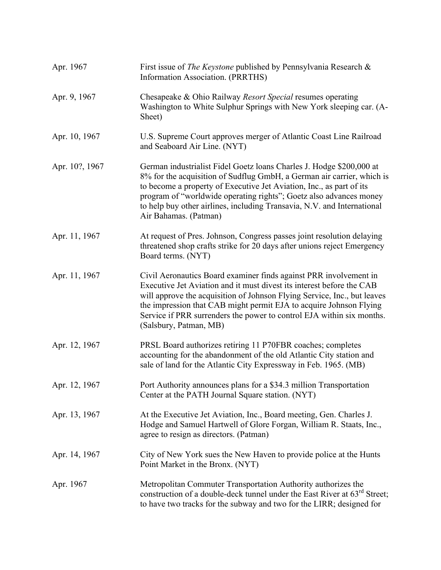| Apr. 1967      | First issue of <i>The Keystone</i> published by Pennsylvania Research &<br>Information Association. (PRRTHS)                                                                                                                                                                                                                                                                                     |
|----------------|--------------------------------------------------------------------------------------------------------------------------------------------------------------------------------------------------------------------------------------------------------------------------------------------------------------------------------------------------------------------------------------------------|
| Apr. 9, 1967   | Chesapeake & Ohio Railway Resort Special resumes operating<br>Washington to White Sulphur Springs with New York sleeping car. (A-<br>Sheet)                                                                                                                                                                                                                                                      |
| Apr. 10, 1967  | U.S. Supreme Court approves merger of Atlantic Coast Line Railroad<br>and Seaboard Air Line. (NYT)                                                                                                                                                                                                                                                                                               |
| Apr. 10?, 1967 | German industrialist Fidel Goetz loans Charles J. Hodge \$200,000 at<br>8% for the acquisition of Sudflug GmbH, a German air carrier, which is<br>to become a property of Executive Jet Aviation, Inc., as part of its<br>program of "worldwide operating rights"; Goetz also advances money<br>to help buy other airlines, including Transavia, N.V. and International<br>Air Bahamas. (Patman) |
| Apr. 11, 1967  | At request of Pres. Johnson, Congress passes joint resolution delaying<br>threatened shop crafts strike for 20 days after unions reject Emergency<br>Board terms. (NYT)                                                                                                                                                                                                                          |
| Apr. 11, 1967  | Civil Aeronautics Board examiner finds against PRR involvement in<br>Executive Jet Aviation and it must divest its interest before the CAB<br>will approve the acquisition of Johnson Flying Service, Inc., but leaves<br>the impression that CAB might permit EJA to acquire Johnson Flying<br>Service if PRR surrenders the power to control EJA within six months.<br>(Salsbury, Patman, MB)  |
| Apr. 12, 1967  | PRSL Board authorizes retiring 11 P70FBR coaches; completes<br>accounting for the abandonment of the old Atlantic City station and<br>sale of land for the Atlantic City Expressway in Feb. 1965. (MB)                                                                                                                                                                                           |
| Apr. 12, 1967  | Port Authority announces plans for a \$34.3 million Transportation<br>Center at the PATH Journal Square station. (NYT)                                                                                                                                                                                                                                                                           |
| Apr. 13, 1967  | At the Executive Jet Aviation, Inc., Board meeting, Gen. Charles J.<br>Hodge and Samuel Hartwell of Glore Forgan, William R. Staats, Inc.,<br>agree to resign as directors. (Patman)                                                                                                                                                                                                             |
| Apr. 14, 1967  | City of New York sues the New Haven to provide police at the Hunts<br>Point Market in the Bronx. (NYT)                                                                                                                                                                                                                                                                                           |
| Apr. 1967      | Metropolitan Commuter Transportation Authority authorizes the<br>construction of a double-deck tunnel under the East River at $63rd$ Street;<br>to have two tracks for the subway and two for the LIRR; designed for                                                                                                                                                                             |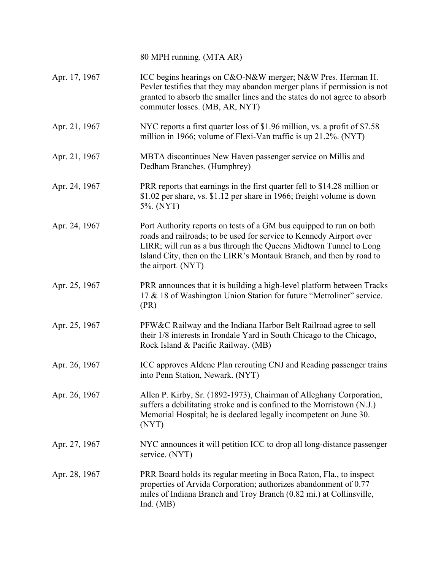80 MPH running. (MTA AR) Apr. 17, 1967 ICC begins hearings on C&O-N&W merger; N&W Pres. Herman H. Pevler testifies that they may abandon merger plans if permission is not granted to absorb the smaller lines and the states do not agree to absorb commuter losses. (MB, AR, NYT) Apr. 21, 1967 NYC reports a first quarter loss of \$1.96 million, vs. a profit of \$7.58 million in 1966; volume of Flexi-Van traffic is up 21.2%. (NYT) Apr. 21, 1967 MBTA discontinues New Haven passenger service on Millis and Dedham Branches. (Humphrey) Apr. 24, 1967 PRR reports that earnings in the first quarter fell to \$14.28 million or \$1.02 per share, vs. \$1.12 per share in 1966; freight volume is down 5%. (NYT) Apr. 24, 1967 Port Authority reports on tests of a GM bus equipped to run on both roads and railroads; to be used for service to Kennedy Airport over LIRR; will run as a bus through the Queens Midtown Tunnel to Long Island City, then on the LIRR's Montauk Branch, and then by road to the airport. (NYT) Apr. 25, 1967 PRR announces that it is building a high-level platform between Tracks 17 & 18 of Washington Union Station for future "Metroliner" service. (PR) Apr. 25, 1967 PFW&C Railway and the Indiana Harbor Belt Railroad agree to sell their 1/8 interests in Irondale Yard in South Chicago to the Chicago, Rock Island & Pacific Railway. (MB) Apr. 26, 1967 ICC approves Aldene Plan rerouting CNJ and Reading passenger trains into Penn Station, Newark. (NYT) Apr. 26, 1967 Allen P. Kirby, Sr. (1892-1973), Chairman of Alleghany Corporation, suffers a debilitating stroke and is confined to the Morristown (N.J.) Memorial Hospital; he is declared legally incompetent on June 30. (NYT) Apr. 27, 1967 NYC announces it will petition ICC to drop all long-distance passenger service. (NYT) Apr. 28, 1967 PRR Board holds its regular meeting in Boca Raton, Fla., to inspect properties of Arvida Corporation; authorizes abandonment of 0.77 miles of Indiana Branch and Troy Branch (0.82 mi.) at Collinsville, Ind. (MB)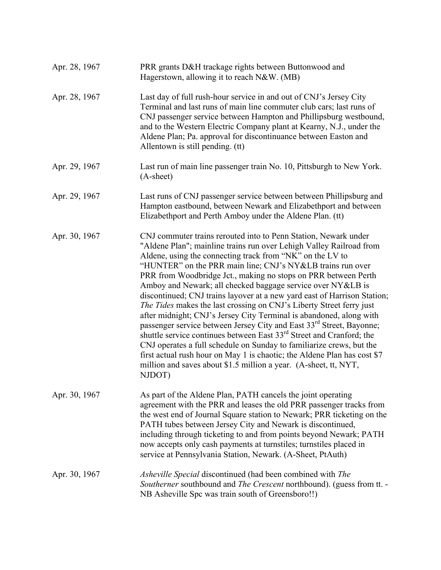| Apr. 28, 1967 | PRR grants D&H trackage rights between Buttonwood and<br>Hagerstown, allowing it to reach N&W. (MB)                                                                                                                                                                                                                                                                                                                                                                                                                                                                                                                                                                                                                                                                                                                                                                                                                                                                                                                                     |
|---------------|-----------------------------------------------------------------------------------------------------------------------------------------------------------------------------------------------------------------------------------------------------------------------------------------------------------------------------------------------------------------------------------------------------------------------------------------------------------------------------------------------------------------------------------------------------------------------------------------------------------------------------------------------------------------------------------------------------------------------------------------------------------------------------------------------------------------------------------------------------------------------------------------------------------------------------------------------------------------------------------------------------------------------------------------|
| Apr. 28, 1967 | Last day of full rush-hour service in and out of CNJ's Jersey City<br>Terminal and last runs of main line commuter club cars; last runs of<br>CNJ passenger service between Hampton and Phillipsburg westbound,<br>and to the Western Electric Company plant at Kearny, N.J., under the<br>Aldene Plan; Pa. approval for discontinuance between Easton and<br>Allentown is still pending. (tt)                                                                                                                                                                                                                                                                                                                                                                                                                                                                                                                                                                                                                                          |
| Apr. 29, 1967 | Last run of main line passenger train No. 10, Pittsburgh to New York.<br>$(A-sheet)$                                                                                                                                                                                                                                                                                                                                                                                                                                                                                                                                                                                                                                                                                                                                                                                                                                                                                                                                                    |
| Apr. 29, 1967 | Last runs of CNJ passenger service between between Phillipsburg and<br>Hampton eastbound, between Newark and Elizabethport and between<br>Elizabethport and Perth Amboy under the Aldene Plan. (tt)                                                                                                                                                                                                                                                                                                                                                                                                                                                                                                                                                                                                                                                                                                                                                                                                                                     |
| Apr. 30, 1967 | CNJ commuter trains rerouted into to Penn Station, Newark under<br>"Aldene Plan"; mainline trains run over Lehigh Valley Railroad from<br>Aldene, using the connecting track from "NK" on the LV to<br>"HUNTER" on the PRR main line; CNJ's NY&LB trains run over<br>PRR from Woodbridge Jct., making no stops on PRR between Perth<br>Amboy and Newark; all checked baggage service over NY&LB is<br>discontinued; CNJ trains layover at a new yard east of Harrison Station;<br>The Tides makes the last crossing on CNJ's Liberty Street ferry just<br>after midnight; CNJ's Jersey City Terminal is abandoned, along with<br>passenger service between Jersey City and East 33 <sup>rd</sup> Street, Bayonne;<br>shuttle service continues between East 33 <sup>rd</sup> Street and Cranford; the<br>CNJ operates a full schedule on Sunday to familiarize crews, but the<br>first actual rush hour on May 1 is chaotic; the Aldene Plan has cost \$7<br>million and saves about \$1.5 million a year. (A-sheet, tt, NYT,<br>NJDOT) |
| Apr. 30, 1967 | As part of the Aldene Plan, PATH cancels the joint operating<br>agreement with the PRR and leases the old PRR passenger tracks from<br>the west end of Journal Square station to Newark; PRR ticketing on the<br>PATH tubes between Jersey City and Newark is discontinued,<br>including through ticketing to and from points beyond Newark; PATH<br>now accepts only cash payments at turnstiles; turnstiles placed in<br>service at Pennsylvania Station, Newark. (A-Sheet, PtAuth)                                                                                                                                                                                                                                                                                                                                                                                                                                                                                                                                                   |
| Apr. 30, 1967 | Asheville Special discontinued (had been combined with The<br>Southerner southbound and The Crescent northbound). (guess from tt. -<br>NB Asheville Spc was train south of Greensboro!!)                                                                                                                                                                                                                                                                                                                                                                                                                                                                                                                                                                                                                                                                                                                                                                                                                                                |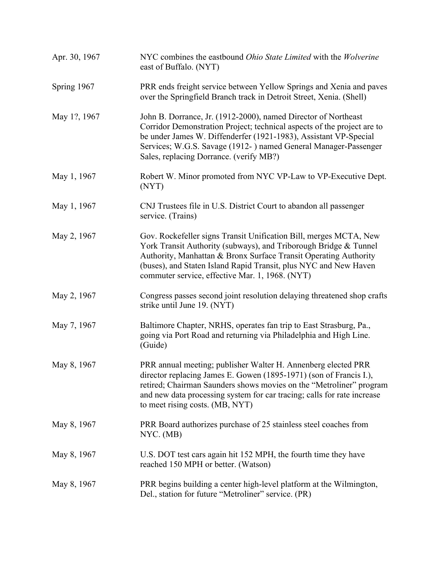| Apr. 30, 1967 | NYC combines the eastbound <i>Ohio State Limited</i> with the <i>Wolverine</i><br>east of Buffalo. (NYT)                                                                                                                                                                                                                         |
|---------------|----------------------------------------------------------------------------------------------------------------------------------------------------------------------------------------------------------------------------------------------------------------------------------------------------------------------------------|
| Spring 1967   | PRR ends freight service between Yellow Springs and Xenia and paves<br>over the Springfield Branch track in Detroit Street, Xenia. (Shell)                                                                                                                                                                                       |
| May 1?, 1967  | John B. Dorrance, Jr. (1912-2000), named Director of Northeast<br>Corridor Demonstration Project; technical aspects of the project are to<br>be under James W. Diffenderfer (1921-1983), Assistant VP-Special<br>Services; W.G.S. Savage (1912-) named General Manager-Passenger<br>Sales, replacing Dorrance. (verify MB?)      |
| May 1, 1967   | Robert W. Minor promoted from NYC VP-Law to VP-Executive Dept.<br>(NYT)                                                                                                                                                                                                                                                          |
| May 1, 1967   | CNJ Trustees file in U.S. District Court to abandon all passenger<br>service. (Trains)                                                                                                                                                                                                                                           |
| May 2, 1967   | Gov. Rockefeller signs Transit Unification Bill, merges MCTA, New<br>York Transit Authority (subways), and Triborough Bridge & Tunnel<br>Authority, Manhattan & Bronx Surface Transit Operating Authority<br>(buses), and Staten Island Rapid Transit, plus NYC and New Haven<br>commuter service, effective Mar. 1, 1968. (NYT) |
| May 2, 1967   | Congress passes second joint resolution delaying threatened shop crafts<br>strike until June 19. (NYT)                                                                                                                                                                                                                           |
| May 7, 1967   | Baltimore Chapter, NRHS, operates fan trip to East Strasburg, Pa.,<br>going via Port Road and returning via Philadelphia and High Line.<br>(Guide)                                                                                                                                                                               |
| May 8, 1967   | PRR annual meeting; publisher Walter H. Annenberg elected PRR<br>director replacing James E. Gowen (1895-1971) (son of Francis I.),<br>retired; Chairman Saunders shows movies on the "Metroliner" program<br>and new data processing system for car tracing; calls for rate increase<br>to meet rising costs. (MB, NYT)         |
| May 8, 1967   | PRR Board authorizes purchase of 25 stainless steel coaches from<br>NYC. (MB)                                                                                                                                                                                                                                                    |
| May 8, 1967   | U.S. DOT test cars again hit 152 MPH, the fourth time they have<br>reached 150 MPH or better. (Watson)                                                                                                                                                                                                                           |
| May 8, 1967   | PRR begins building a center high-level platform at the Wilmington,<br>Del., station for future "Metroliner" service. (PR)                                                                                                                                                                                                       |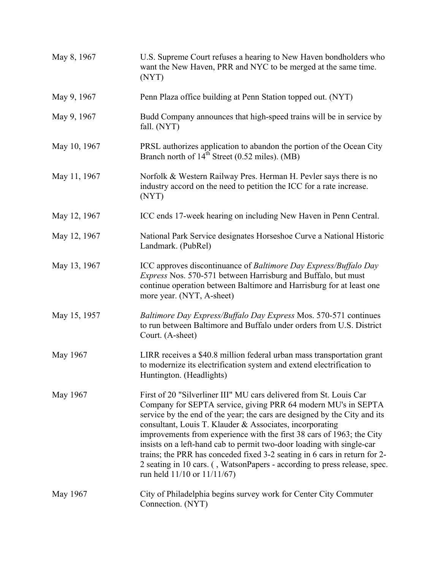| May 8, 1967  | U.S. Supreme Court refuses a hearing to New Haven bondholders who<br>want the New Haven, PRR and NYC to be merged at the same time.<br>(NYT)                                                                                                                                                                                                                                                                                                                                                                                                                                                                                 |
|--------------|------------------------------------------------------------------------------------------------------------------------------------------------------------------------------------------------------------------------------------------------------------------------------------------------------------------------------------------------------------------------------------------------------------------------------------------------------------------------------------------------------------------------------------------------------------------------------------------------------------------------------|
| May 9, 1967  | Penn Plaza office building at Penn Station topped out. (NYT)                                                                                                                                                                                                                                                                                                                                                                                                                                                                                                                                                                 |
| May 9, 1967  | Budd Company announces that high-speed trains will be in service by<br>fall. (NYT)                                                                                                                                                                                                                                                                                                                                                                                                                                                                                                                                           |
| May 10, 1967 | PRSL authorizes application to abandon the portion of the Ocean City<br>Branch north of $14th$ Street (0.52 miles). (MB)                                                                                                                                                                                                                                                                                                                                                                                                                                                                                                     |
| May 11, 1967 | Norfolk & Western Railway Pres. Herman H. Pevler says there is no<br>industry accord on the need to petition the ICC for a rate increase.<br>(NYT)                                                                                                                                                                                                                                                                                                                                                                                                                                                                           |
| May 12, 1967 | ICC ends 17-week hearing on including New Haven in Penn Central.                                                                                                                                                                                                                                                                                                                                                                                                                                                                                                                                                             |
| May 12, 1967 | National Park Service designates Horseshoe Curve a National Historic<br>Landmark. (PubRel)                                                                                                                                                                                                                                                                                                                                                                                                                                                                                                                                   |
| May 13, 1967 | ICC approves discontinuance of Baltimore Day Express/Buffalo Day<br><i>Express</i> Nos. 570-571 between Harrisburg and Buffalo, but must<br>continue operation between Baltimore and Harrisburg for at least one<br>more year. (NYT, A-sheet)                                                                                                                                                                                                                                                                                                                                                                                |
| May 15, 1957 | Baltimore Day Express/Buffalo Day Express Mos. 570-571 continues<br>to run between Baltimore and Buffalo under orders from U.S. District<br>Court. (A-sheet)                                                                                                                                                                                                                                                                                                                                                                                                                                                                 |
| May 1967     | LIRR receives a \$40.8 million federal urban mass transportation grant<br>to modernize its electrification system and extend electrification to<br>Huntington. (Headlights)                                                                                                                                                                                                                                                                                                                                                                                                                                                  |
| May 1967     | First of 20 "Silverliner III" MU cars delivered from St. Louis Car<br>Company for SEPTA service, giving PRR 64 modern MU's in SEPTA<br>service by the end of the year; the cars are designed by the City and its<br>consultant, Louis T. Klauder & Associates, incorporating<br>improvements from experience with the first 38 cars of 1963; the City<br>insists on a left-hand cab to permit two-door loading with single-car<br>trains; the PRR has conceded fixed 3-2 seating in 6 cars in return for 2-<br>2 seating in 10 cars. (, WatsonPapers - according to press release, spec.<br>run held $11/10$ or $11/11/67$ ) |
| May 1967     | City of Philadelphia begins survey work for Center City Commuter<br>Connection. (NYT)                                                                                                                                                                                                                                                                                                                                                                                                                                                                                                                                        |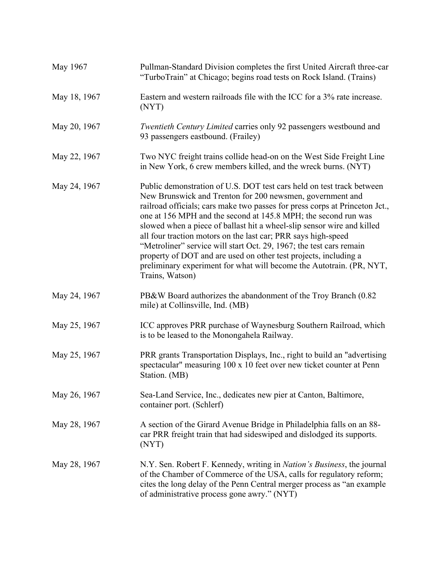| May 1967     | Pullman-Standard Division completes the first United Aircraft three-car<br>"TurboTrain" at Chicago; begins road tests on Rock Island. (Trains)                                                                                                                                                                                                                                                                                                                                                                                                                                                                                                                       |
|--------------|----------------------------------------------------------------------------------------------------------------------------------------------------------------------------------------------------------------------------------------------------------------------------------------------------------------------------------------------------------------------------------------------------------------------------------------------------------------------------------------------------------------------------------------------------------------------------------------------------------------------------------------------------------------------|
| May 18, 1967 | Eastern and western railroads file with the ICC for a 3% rate increase.<br>(NYT)                                                                                                                                                                                                                                                                                                                                                                                                                                                                                                                                                                                     |
| May 20, 1967 | Twentieth Century Limited carries only 92 passengers westbound and<br>93 passengers eastbound. (Frailey)                                                                                                                                                                                                                                                                                                                                                                                                                                                                                                                                                             |
| May 22, 1967 | Two NYC freight trains collide head-on on the West Side Freight Line<br>in New York, 6 crew members killed, and the wreck burns. (NYT)                                                                                                                                                                                                                                                                                                                                                                                                                                                                                                                               |
| May 24, 1967 | Public demonstration of U.S. DOT test cars held on test track between<br>New Brunswick and Trenton for 200 newsmen, government and<br>railroad officials; cars make two passes for press corps at Princeton Jct.,<br>one at 156 MPH and the second at 145.8 MPH; the second run was<br>slowed when a piece of ballast hit a wheel-slip sensor wire and killed<br>all four traction motors on the last car; PRR says high-speed<br>"Metroliner" service will start Oct. 29, 1967; the test cars remain<br>property of DOT and are used on other test projects, including a<br>preliminary experiment for what will become the Autotrain. (PR, NYT,<br>Trains, Watson) |
| May 24, 1967 | PB&W Board authorizes the abandonment of the Troy Branch (0.82<br>mile) at Collinsville, Ind. (MB)                                                                                                                                                                                                                                                                                                                                                                                                                                                                                                                                                                   |
| May 25, 1967 | ICC approves PRR purchase of Waynesburg Southern Railroad, which<br>is to be leased to the Monongahela Railway.                                                                                                                                                                                                                                                                                                                                                                                                                                                                                                                                                      |
| May 25, 1967 | PRR grants Transportation Displays, Inc., right to build an "advertising<br>spectacular" measuring 100 x 10 feet over new ticket counter at Penn<br>Station. (MB)                                                                                                                                                                                                                                                                                                                                                                                                                                                                                                    |
| May 26, 1967 | Sea-Land Service, Inc., dedicates new pier at Canton, Baltimore,<br>container port. (Schlerf)                                                                                                                                                                                                                                                                                                                                                                                                                                                                                                                                                                        |
| May 28, 1967 | A section of the Girard Avenue Bridge in Philadelphia falls on an 88-<br>car PRR freight train that had sideswiped and dislodged its supports.<br>(NYT)                                                                                                                                                                                                                                                                                                                                                                                                                                                                                                              |
| May 28, 1967 | N.Y. Sen. Robert F. Kennedy, writing in <i>Nation's Business</i> , the journal<br>of the Chamber of Commerce of the USA, calls for regulatory reform;<br>cites the long delay of the Penn Central merger process as "an example<br>of administrative process gone awry." (NYT)                                                                                                                                                                                                                                                                                                                                                                                       |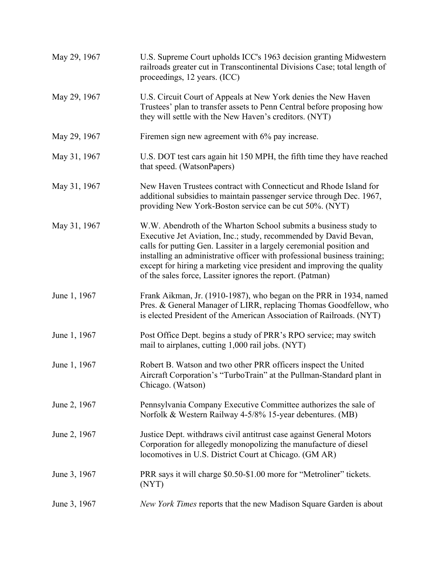| May 29, 1967 | U.S. Supreme Court upholds ICC's 1963 decision granting Midwestern<br>railroads greater cut in Transcontinental Divisions Case; total length of<br>proceedings, 12 years. (ICC)                                                                                                                                                                                                                                                  |
|--------------|----------------------------------------------------------------------------------------------------------------------------------------------------------------------------------------------------------------------------------------------------------------------------------------------------------------------------------------------------------------------------------------------------------------------------------|
| May 29, 1967 | U.S. Circuit Court of Appeals at New York denies the New Haven<br>Trustees' plan to transfer assets to Penn Central before proposing how<br>they will settle with the New Haven's creditors. (NYT)                                                                                                                                                                                                                               |
| May 29, 1967 | Firemen sign new agreement with 6% pay increase.                                                                                                                                                                                                                                                                                                                                                                                 |
| May 31, 1967 | U.S. DOT test cars again hit 150 MPH, the fifth time they have reached<br>that speed. (WatsonPapers)                                                                                                                                                                                                                                                                                                                             |
| May 31, 1967 | New Haven Trustees contract with Connecticut and Rhode Island for<br>additional subsidies to maintain passenger service through Dec. 1967,<br>providing New York-Boston service can be cut 50%. (NYT)                                                                                                                                                                                                                            |
| May 31, 1967 | W.W. Abendroth of the Wharton School submits a business study to<br>Executive Jet Aviation, Inc.; study, recommended by David Bevan,<br>calls for putting Gen. Lassiter in a largely ceremonial position and<br>installing an administrative officer with professional business training;<br>except for hiring a marketing vice president and improving the quality<br>of the sales force, Lassiter ignores the report. (Patman) |
| June 1, 1967 | Frank Aikman, Jr. (1910-1987), who began on the PRR in 1934, named<br>Pres. & General Manager of LIRR, replacing Thomas Goodfellow, who<br>is elected President of the American Association of Railroads. (NYT)                                                                                                                                                                                                                  |
| June 1, 1967 | Post Office Dept. begins a study of PRR's RPO service; may switch<br>mail to airplanes, cutting 1,000 rail jobs. (NYT)                                                                                                                                                                                                                                                                                                           |
| June 1, 1967 | Robert B. Watson and two other PRR officers inspect the United<br>Aircraft Corporation's "TurboTrain" at the Pullman-Standard plant in<br>Chicago. (Watson)                                                                                                                                                                                                                                                                      |
| June 2, 1967 | Pennsylvania Company Executive Committee authorizes the sale of<br>Norfolk & Western Railway 4-5/8% 15-year debentures. (MB)                                                                                                                                                                                                                                                                                                     |
| June 2, 1967 | Justice Dept. withdraws civil antitrust case against General Motors<br>Corporation for allegedly monopolizing the manufacture of diesel<br>locomotives in U.S. District Court at Chicago. (GM AR)                                                                                                                                                                                                                                |
| June 3, 1967 | PRR says it will charge \$0.50-\$1.00 more for "Metroliner" tickets.<br>(NYT)                                                                                                                                                                                                                                                                                                                                                    |
| June 3, 1967 | New York Times reports that the new Madison Square Garden is about                                                                                                                                                                                                                                                                                                                                                               |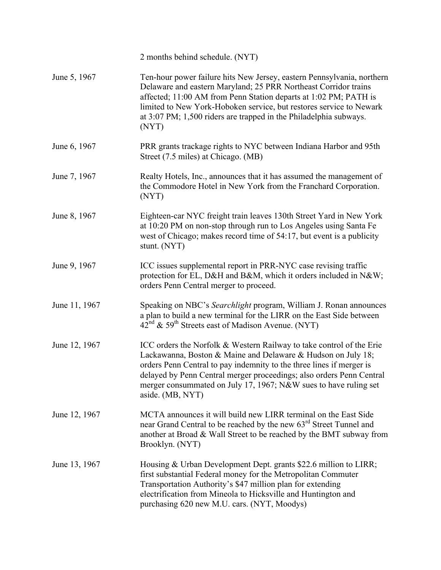|               | 2 months behind schedule. (NYT)                                                                                                                                                                                                                                                                                                                                              |
|---------------|------------------------------------------------------------------------------------------------------------------------------------------------------------------------------------------------------------------------------------------------------------------------------------------------------------------------------------------------------------------------------|
| June 5, 1967  | Ten-hour power failure hits New Jersey, eastern Pennsylvania, northern<br>Delaware and eastern Maryland; 25 PRR Northeast Corridor trains<br>affected; 11:00 AM from Penn Station departs at 1:02 PM; PATH is<br>limited to New York-Hoboken service, but restores service to Newark<br>at 3:07 PM; 1,500 riders are trapped in the Philadelphia subways.<br>(NYT)           |
| June 6, 1967  | PRR grants trackage rights to NYC between Indiana Harbor and 95th<br>Street (7.5 miles) at Chicago. (MB)                                                                                                                                                                                                                                                                     |
| June 7, 1967  | Realty Hotels, Inc., announces that it has assumed the management of<br>the Commodore Hotel in New York from the Franchard Corporation.<br>(NYT)                                                                                                                                                                                                                             |
| June 8, 1967  | Eighteen-car NYC freight train leaves 130th Street Yard in New York<br>at 10:20 PM on non-stop through run to Los Angeles using Santa Fe<br>west of Chicago; makes record time of 54:17, but event is a publicity<br>stunt. (NYT)                                                                                                                                            |
| June 9, 1967  | ICC issues supplemental report in PRR-NYC case revising traffic<br>protection for EL, D&H and B&M, which it orders included in N&W<br>orders Penn Central merger to proceed.                                                                                                                                                                                                 |
| June 11, 1967 | Speaking on NBC's Searchlight program, William J. Ronan announces<br>a plan to build a new terminal for the LIRR on the East Side between<br>$42nd$ & 59 <sup>th</sup> Streets east of Madison Avenue. (NYT)                                                                                                                                                                 |
| June 12, 1967 | ICC orders the Norfolk & Western Railway to take control of the Erie<br>Lackawanna, Boston & Maine and Delaware & Hudson on July 18;<br>orders Penn Central to pay indemnity to the three lines if merger is<br>delayed by Penn Central merger proceedings; also orders Penn Central<br>merger consummated on July 17, 1967; N&W sues to have ruling set<br>aside. (MB, NYT) |
| June 12, 1967 | MCTA announces it will build new LIRR terminal on the East Side<br>near Grand Central to be reached by the new 63 <sup>rd</sup> Street Tunnel and<br>another at Broad & Wall Street to be reached by the BMT subway from<br>Brooklyn. (NYT)                                                                                                                                  |
| June 13, 1967 | Housing & Urban Development Dept. grants \$22.6 million to LIRR;<br>first substantial Federal money for the Metropolitan Commuter<br>Transportation Authority's \$47 million plan for extending<br>electrification from Mineola to Hicksville and Huntington and<br>purchasing 620 new M.U. cars. (NYT, Moodys)                                                              |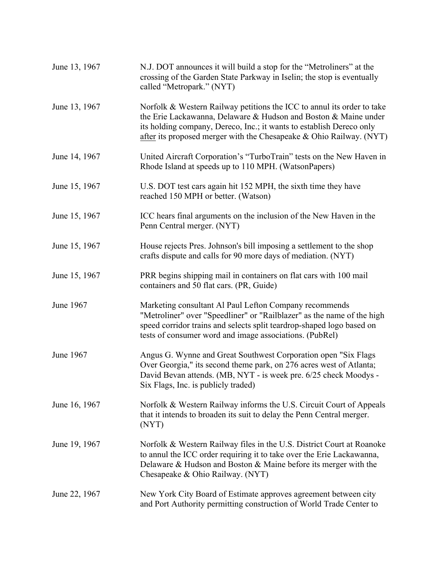| June 13, 1967 | N.J. DOT announces it will build a stop for the "Metroliners" at the<br>crossing of the Garden State Parkway in Iselin; the stop is eventually<br>called "Metropark." (NYT)                                                                                                                |
|---------------|--------------------------------------------------------------------------------------------------------------------------------------------------------------------------------------------------------------------------------------------------------------------------------------------|
| June 13, 1967 | Norfolk & Western Railway petitions the ICC to annul its order to take<br>the Erie Lackawanna, Delaware & Hudson and Boston & Maine under<br>its holding company, Dereco, Inc.; it wants to establish Dereco only<br>after its proposed merger with the Chesapeake $& Ohio$ Railway. (NYT) |
| June 14, 1967 | United Aircraft Corporation's "TurboTrain" tests on the New Haven in<br>Rhode Island at speeds up to 110 MPH. (WatsonPapers)                                                                                                                                                               |
| June 15, 1967 | U.S. DOT test cars again hit 152 MPH, the sixth time they have<br>reached 150 MPH or better. (Watson)                                                                                                                                                                                      |
| June 15, 1967 | ICC hears final arguments on the inclusion of the New Haven in the<br>Penn Central merger. (NYT)                                                                                                                                                                                           |
| June 15, 1967 | House rejects Pres. Johnson's bill imposing a settlement to the shop<br>crafts dispute and calls for 90 more days of mediation. (NYT)                                                                                                                                                      |
| June 15, 1967 | PRR begins shipping mail in containers on flat cars with 100 mail<br>containers and 50 flat cars. (PR, Guide)                                                                                                                                                                              |
| June 1967     | Marketing consultant Al Paul Lefton Company recommends<br>"Metroliner" over "Speedliner" or "Railblazer" as the name of the high<br>speed corridor trains and selects split teardrop-shaped logo based on<br>tests of consumer word and image associations. (PubRel)                       |
| June 1967     | Angus G. Wynne and Great Southwest Corporation open "Six Flags"<br>Over Georgia," its second theme park, on 276 acres west of Atlanta;<br>David Bevan attends. (MB, NYT - is week pre. 6/25 check Moodys -<br>Six Flags, Inc. is publicly traded)                                          |
| June 16, 1967 | Norfolk & Western Railway informs the U.S. Circuit Court of Appeals<br>that it intends to broaden its suit to delay the Penn Central merger.<br>(NYT)                                                                                                                                      |
| June 19, 1967 | Norfolk & Western Railway files in the U.S. District Court at Roanoke<br>to annul the ICC order requiring it to take over the Erie Lackawanna,<br>Delaware & Hudson and Boston & Maine before its merger with the<br>Chesapeake & Ohio Railway. (NYT)                                      |
| June 22, 1967 | New York City Board of Estimate approves agreement between city<br>and Port Authority permitting construction of World Trade Center to                                                                                                                                                     |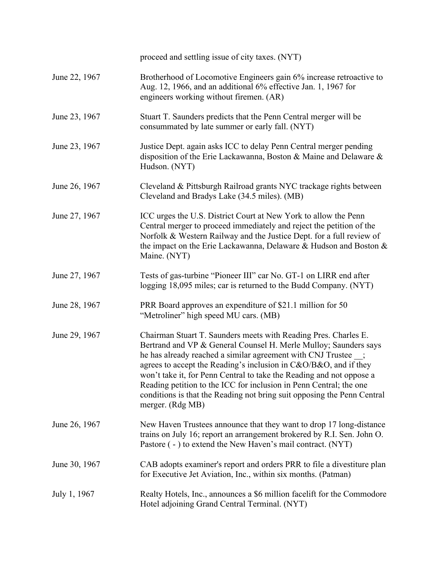|               | proceed and settling issue of city taxes. (NYT)                                                                                                                                                                                                                                                                                                                                                                                                                                                                        |
|---------------|------------------------------------------------------------------------------------------------------------------------------------------------------------------------------------------------------------------------------------------------------------------------------------------------------------------------------------------------------------------------------------------------------------------------------------------------------------------------------------------------------------------------|
| June 22, 1967 | Brotherhood of Locomotive Engineers gain 6% increase retroactive to<br>Aug. 12, 1966, and an additional 6% effective Jan. 1, 1967 for<br>engineers working without firemen. (AR)                                                                                                                                                                                                                                                                                                                                       |
| June 23, 1967 | Stuart T. Saunders predicts that the Penn Central merger will be<br>consummated by late summer or early fall. (NYT)                                                                                                                                                                                                                                                                                                                                                                                                    |
| June 23, 1967 | Justice Dept. again asks ICC to delay Penn Central merger pending<br>disposition of the Erie Lackawanna, Boston & Maine and Delaware &<br>Hudson. (NYT)                                                                                                                                                                                                                                                                                                                                                                |
| June 26, 1967 | Cleveland & Pittsburgh Railroad grants NYC trackage rights between<br>Cleveland and Bradys Lake (34.5 miles). (MB)                                                                                                                                                                                                                                                                                                                                                                                                     |
| June 27, 1967 | ICC urges the U.S. District Court at New York to allow the Penn<br>Central merger to proceed immediately and reject the petition of the<br>Norfolk & Western Railway and the Justice Dept. for a full review of<br>the impact on the Erie Lackawanna, Delaware & Hudson and Boston &<br>Maine. (NYT)                                                                                                                                                                                                                   |
| June 27, 1967 | Tests of gas-turbine "Pioneer III" car No. GT-1 on LIRR end after<br>logging 18,095 miles; car is returned to the Budd Company. (NYT)                                                                                                                                                                                                                                                                                                                                                                                  |
| June 28, 1967 | PRR Board approves an expenditure of \$21.1 million for 50<br>"Metroliner" high speed MU cars. (MB)                                                                                                                                                                                                                                                                                                                                                                                                                    |
| June 29, 1967 | Chairman Stuart T. Saunders meets with Reading Pres. Charles E.<br>Bertrand and VP & General Counsel H. Merle Mulloy; Saunders says<br>he has already reached a similar agreement with CNJ Trustee _;<br>agrees to accept the Reading's inclusion in C&O/B&O, and if they<br>won't take it, for Penn Central to take the Reading and not oppose a<br>Reading petition to the ICC for inclusion in Penn Central; the one<br>conditions is that the Reading not bring suit opposing the Penn Central<br>merger. (Rdg MB) |
| June 26, 1967 | New Haven Trustees announce that they want to drop 17 long-distance<br>trains on July 16; report an arrangement brokered by R.I. Sen. John O.<br>Pastore (-) to extend the New Haven's mail contract. (NYT)                                                                                                                                                                                                                                                                                                            |
| June 30, 1967 | CAB adopts examiner's report and orders PRR to file a divestiture plan<br>for Executive Jet Aviation, Inc., within six months. (Patman)                                                                                                                                                                                                                                                                                                                                                                                |
| July 1, 1967  | Realty Hotels, Inc., announces a \$6 million facelift for the Commodore<br>Hotel adjoining Grand Central Terminal. (NYT)                                                                                                                                                                                                                                                                                                                                                                                               |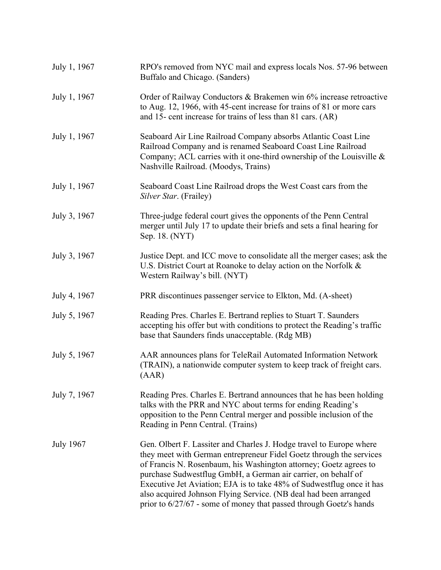| July 1, 1967     | RPO's removed from NYC mail and express locals Nos. 57-96 between<br>Buffalo and Chicago. (Sanders)                                                                                                                                                                                                                                                                                                                                                                                                 |
|------------------|-----------------------------------------------------------------------------------------------------------------------------------------------------------------------------------------------------------------------------------------------------------------------------------------------------------------------------------------------------------------------------------------------------------------------------------------------------------------------------------------------------|
| July 1, 1967     | Order of Railway Conductors & Brakemen win 6% increase retroactive<br>to Aug. 12, 1966, with 45-cent increase for trains of 81 or more cars<br>and 15- cent increase for trains of less than 81 cars. (AR)                                                                                                                                                                                                                                                                                          |
| July 1, 1967     | Seaboard Air Line Railroad Company absorbs Atlantic Coast Line<br>Railroad Company and is renamed Seaboard Coast Line Railroad<br>Company; ACL carries with it one-third ownership of the Louisville &<br>Nashville Railroad. (Moodys, Trains)                                                                                                                                                                                                                                                      |
| July 1, 1967     | Seaboard Coast Line Railroad drops the West Coast cars from the<br>Silver Star. (Frailey)                                                                                                                                                                                                                                                                                                                                                                                                           |
| July 3, 1967     | Three-judge federal court gives the opponents of the Penn Central<br>merger until July 17 to update their briefs and sets a final hearing for<br>Sep. 18. (NYT)                                                                                                                                                                                                                                                                                                                                     |
| July 3, 1967     | Justice Dept. and ICC move to consolidate all the merger cases; ask the<br>U.S. District Court at Roanoke to delay action on the Norfolk &<br>Western Railway's bill. (NYT)                                                                                                                                                                                                                                                                                                                         |
| July 4, 1967     | PRR discontinues passenger service to Elkton, Md. (A-sheet)                                                                                                                                                                                                                                                                                                                                                                                                                                         |
| July 5, 1967     | Reading Pres. Charles E. Bertrand replies to Stuart T. Saunders<br>accepting his offer but with conditions to protect the Reading's traffic<br>base that Saunders finds unacceptable. (Rdg MB)                                                                                                                                                                                                                                                                                                      |
| July 5, 1967     | AAR announces plans for TeleRail Automated Information Network<br>(TRAIN), a nationwide computer system to keep track of freight cars.<br>(AAR)                                                                                                                                                                                                                                                                                                                                                     |
| July 7, 1967     | Reading Pres. Charles E. Bertrand announces that he has been holding<br>talks with the PRR and NYC about terms for ending Reading's<br>opposition to the Penn Central merger and possible inclusion of the<br>Reading in Penn Central. (Trains)                                                                                                                                                                                                                                                     |
| <b>July 1967</b> | Gen. Olbert F. Lassiter and Charles J. Hodge travel to Europe where<br>they meet with German entrepreneur Fidel Goetz through the services<br>of Francis N. Rosenbaum, his Washington attorney; Goetz agrees to<br>purchase Sudwestflug GmbH, a German air carrier, on behalf of<br>Executive Jet Aviation; EJA is to take 48% of Sudwestflug once it has<br>also acquired Johnson Flying Service. (NB deal had been arranged<br>prior to 6/27/67 - some of money that passed through Goetz's hands |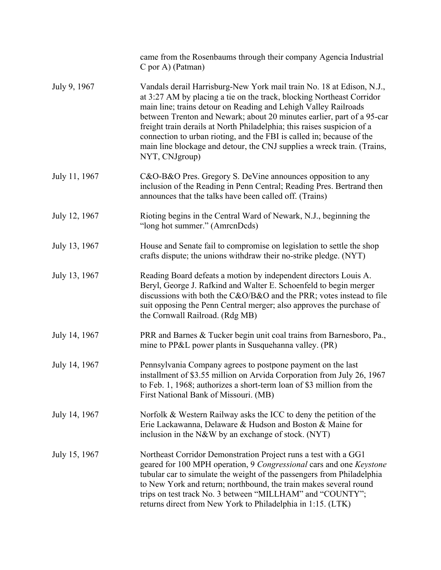|               | came from the Rosenbaums through their company Agencia Industrial<br>C por A) (Patman)                                                                                                                                                                                                                                                                                                                                                                                                                                                       |
|---------------|----------------------------------------------------------------------------------------------------------------------------------------------------------------------------------------------------------------------------------------------------------------------------------------------------------------------------------------------------------------------------------------------------------------------------------------------------------------------------------------------------------------------------------------------|
| July 9, 1967  | Vandals derail Harrisburg-New York mail train No. 18 at Edison, N.J.,<br>at 3:27 AM by placing a tie on the track, blocking Northeast Corridor<br>main line; trains detour on Reading and Lehigh Valley Railroads<br>between Trenton and Newark; about 20 minutes earlier, part of a 95-car<br>freight train derails at North Philadelphia; this raises suspicion of a<br>connection to urban rioting, and the FBI is called in; because of the<br>main line blockage and detour, the CNJ supplies a wreck train. (Trains,<br>NYT, CNJgroup) |
| July 11, 1967 | C&O-B&O Pres. Gregory S. DeVine announces opposition to any<br>inclusion of the Reading in Penn Central; Reading Pres. Bertrand then<br>announces that the talks have been called off. (Trains)                                                                                                                                                                                                                                                                                                                                              |
| July 12, 1967 | Rioting begins in the Central Ward of Newark, N.J., beginning the<br>"long hot summer." (AmrcnDcds)                                                                                                                                                                                                                                                                                                                                                                                                                                          |
| July 13, 1967 | House and Senate fail to compromise on legislation to settle the shop<br>crafts dispute; the unions withdraw their no-strike pledge. (NYT)                                                                                                                                                                                                                                                                                                                                                                                                   |
| July 13, 1967 | Reading Board defeats a motion by independent directors Louis A.<br>Beryl, George J. Rafkind and Walter E. Schoenfeld to begin merger<br>discussions with both the C&O/B&O and the PRR; votes instead to file<br>suit opposing the Penn Central merger; also approves the purchase of<br>the Cornwall Railroad. (Rdg MB)                                                                                                                                                                                                                     |
| July 14, 1967 | PRR and Barnes & Tucker begin unit coal trains from Barnesboro, Pa.,<br>mine to PP&L power plants in Susquehanna valley. (PR)                                                                                                                                                                                                                                                                                                                                                                                                                |
| July 14, 1967 | Pennsylvania Company agrees to postpone payment on the last<br>installment of \$3.55 million on Arvida Corporation from July 26, 1967<br>to Feb. 1, 1968; authorizes a short-term loan of \$3 million from the<br>First National Bank of Missouri. (MB)                                                                                                                                                                                                                                                                                      |
| July 14, 1967 | Norfolk & Western Railway asks the ICC to deny the petition of the<br>Erie Lackawanna, Delaware & Hudson and Boston & Maine for<br>inclusion in the N&W by an exchange of stock. (NYT)                                                                                                                                                                                                                                                                                                                                                       |
| July 15, 1967 | Northeast Corridor Demonstration Project runs a test with a GG1<br>geared for 100 MPH operation, 9 Congressional cars and one Keystone<br>tubular car to simulate the weight of the passengers from Philadelphia<br>to New York and return; northbound, the train makes several round<br>trips on test track No. 3 between "MILLHAM" and "COUNTY";<br>returns direct from New York to Philadelphia in 1:15. (LTK)                                                                                                                            |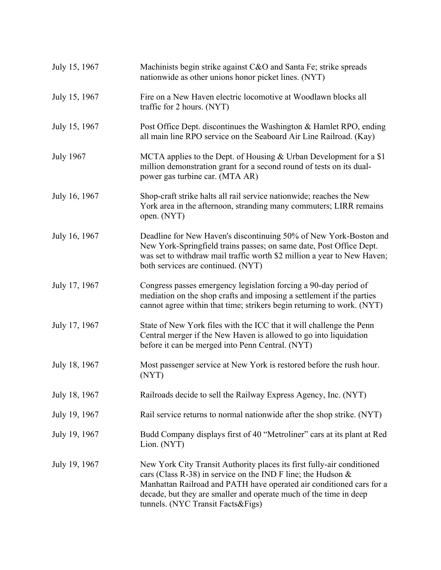| July 15, 1967    | Machinists begin strike against C&O and Santa Fe; strike spreads<br>nationwide as other unions honor picket lines. (NYT)                                                                                                                                                                                                    |
|------------------|-----------------------------------------------------------------------------------------------------------------------------------------------------------------------------------------------------------------------------------------------------------------------------------------------------------------------------|
| July 15, 1967    | Fire on a New Haven electric locomotive at Woodlawn blocks all<br>traffic for 2 hours. (NYT)                                                                                                                                                                                                                                |
| July 15, 1967    | Post Office Dept. discontinues the Washington & Hamlet RPO, ending<br>all main line RPO service on the Seaboard Air Line Railroad. (Kay)                                                                                                                                                                                    |
| <b>July 1967</b> | MCTA applies to the Dept. of Housing & Urban Development for a \$1<br>million demonstration grant for a second round of tests on its dual-<br>power gas turbine car. (MTA AR)                                                                                                                                               |
| July 16, 1967    | Shop-craft strike halts all rail service nationwide; reaches the New<br>York area in the afternoon, stranding many commuters; LIRR remains<br>open. (NYT)                                                                                                                                                                   |
| July 16, 1967    | Deadline for New Haven's discontinuing 50% of New York-Boston and<br>New York-Springfield trains passes; on same date, Post Office Dept.<br>was set to withdraw mail traffic worth \$2 million a year to New Haven;<br>both services are continued. (NYT)                                                                   |
| July 17, 1967    | Congress passes emergency legislation forcing a 90-day period of<br>mediation on the shop crafts and imposing a settlement if the parties<br>cannot agree within that time; strikers begin returning to work. (NYT)                                                                                                         |
| July 17, 1967    | State of New York files with the ICC that it will challenge the Penn<br>Central merger if the New Haven is allowed to go into liquidation<br>before it can be merged into Penn Central. (NYT)                                                                                                                               |
| July 18, 1967    | Most passenger service at New York is restored before the rush hour.<br>(NYT)                                                                                                                                                                                                                                               |
| July 18, 1967    | Railroads decide to sell the Railway Express Agency, Inc. (NYT)                                                                                                                                                                                                                                                             |
| July 19, 1967    | Rail service returns to normal nationwide after the shop strike. (NYT)                                                                                                                                                                                                                                                      |
| July 19, 1967    | Budd Company displays first of 40 "Metroliner" cars at its plant at Red<br>Lion. (NYT)                                                                                                                                                                                                                                      |
| July 19, 1967    | New York City Transit Authority places its first fully-air conditioned<br>cars (Class R-38) in service on the IND F line; the Hudson $\&$<br>Manhattan Railroad and PATH have operated air conditioned cars for a<br>decade, but they are smaller and operate much of the time in deep<br>tunnels. (NYC Transit Facts&Figs) |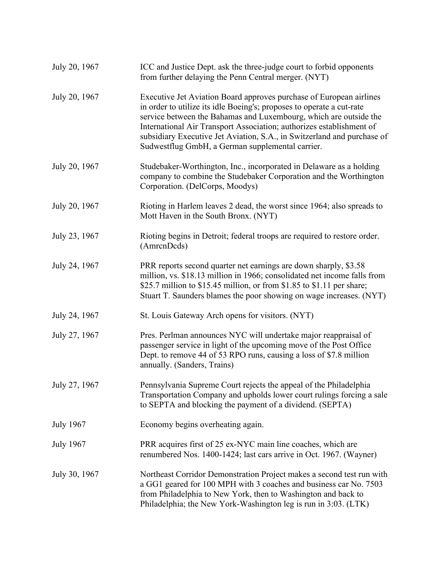| July 20, 1967    | ICC and Justice Dept. ask the three-judge court to forbid opponents<br>from further delaying the Penn Central merger. (NYT)                                                                                                                                                                                                                                                                                              |
|------------------|--------------------------------------------------------------------------------------------------------------------------------------------------------------------------------------------------------------------------------------------------------------------------------------------------------------------------------------------------------------------------------------------------------------------------|
| July 20, 1967    | Executive Jet Aviation Board approves purchase of European airlines<br>in order to utilize its idle Boeing's; proposes to operate a cut-rate<br>service between the Bahamas and Luxembourg, which are outside the<br>International Air Transport Association; authorizes establishment of<br>subsidiary Executive Jet Aviation, S.A., in Switzerland and purchase of<br>Sudwestflug GmbH, a German supplemental carrier. |
| July 20, 1967    | Studebaker-Worthington, Inc., incorporated in Delaware as a holding<br>company to combine the Studebaker Corporation and the Worthington<br>Corporation. (DelCorps, Moodys)                                                                                                                                                                                                                                              |
| July 20, 1967    | Rioting in Harlem leaves 2 dead, the worst since 1964; also spreads to<br>Mott Haven in the South Bronx. (NYT)                                                                                                                                                                                                                                                                                                           |
| July 23, 1967    | Rioting begins in Detroit; federal troops are required to restore order.<br>(AmrcnDcds)                                                                                                                                                                                                                                                                                                                                  |
| July 24, 1967    | PRR reports second quarter net earnings are down sharply, \$3.58<br>million, vs. \$18.13 million in 1966; consolidated net income falls from<br>\$25.7 million to \$15.45 million, or from \$1.85 to \$1.11 per share;<br>Stuart T. Saunders blames the poor showing on wage increases. (NYT)                                                                                                                            |
| July 24, 1967    | St. Louis Gateway Arch opens for visitors. (NYT)                                                                                                                                                                                                                                                                                                                                                                         |
| July 27, 1967    | Pres. Perlman announces NYC will undertake major reappraisal of<br>passenger service in light of the upcoming move of the Post Office<br>Dept. to remove 44 of 53 RPO runs, causing a loss of \$7.8 million<br>annually. (Sanders, Trains)                                                                                                                                                                               |
| July 27, 1967    | Pennsylvania Supreme Court rejects the appeal of the Philadelphia<br>Transportation Company and upholds lower court rulings forcing a sale<br>to SEPTA and blocking the payment of a dividend. (SEPTA)                                                                                                                                                                                                                   |
| <b>July 1967</b> | Economy begins overheating again.                                                                                                                                                                                                                                                                                                                                                                                        |
| <b>July 1967</b> | PRR acquires first of 25 ex-NYC main line coaches, which are<br>renumbered Nos. 1400-1424; last cars arrive in Oct. 1967. (Wayner)                                                                                                                                                                                                                                                                                       |
| July 30, 1967    | Northeast Corridor Demonstration Project makes a second test run with<br>a GG1 geared for 100 MPH with 3 coaches and business car No. 7503<br>from Philadelphia to New York, then to Washington and back to<br>Philadelphia; the New York-Washington leg is run in 3:03. (LTK)                                                                                                                                           |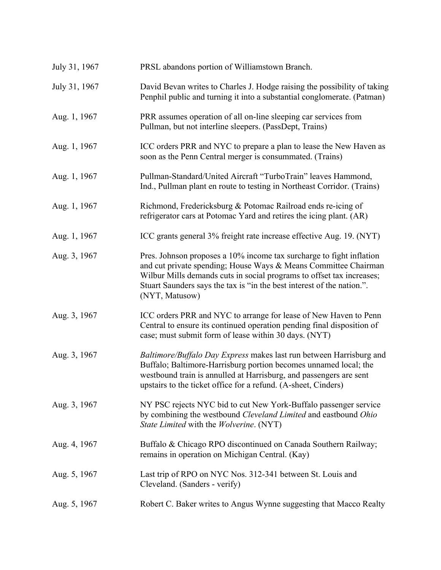| July 31, 1967 | PRSL abandons portion of Williamstown Branch.                                                                                                                                                                                                                                                                |
|---------------|--------------------------------------------------------------------------------------------------------------------------------------------------------------------------------------------------------------------------------------------------------------------------------------------------------------|
| July 31, 1967 | David Bevan writes to Charles J. Hodge raising the possibility of taking<br>Penphil public and turning it into a substantial conglomerate. (Patman)                                                                                                                                                          |
| Aug. 1, 1967  | PRR assumes operation of all on-line sleeping car services from<br>Pullman, but not interline sleepers. (PassDept, Trains)                                                                                                                                                                                   |
| Aug. 1, 1967  | ICC orders PRR and NYC to prepare a plan to lease the New Haven as<br>soon as the Penn Central merger is consummated. (Trains)                                                                                                                                                                               |
| Aug. 1, 1967  | Pullman-Standard/United Aircraft "TurboTrain" leaves Hammond,<br>Ind., Pullman plant en route to testing in Northeast Corridor. (Trains)                                                                                                                                                                     |
| Aug. 1, 1967  | Richmond, Fredericksburg & Potomac Railroad ends re-icing of<br>refrigerator cars at Potomac Yard and retires the icing plant. (AR)                                                                                                                                                                          |
| Aug. 1, 1967  | ICC grants general 3% freight rate increase effective Aug. 19. (NYT)                                                                                                                                                                                                                                         |
| Aug. 3, 1967  | Pres. Johnson proposes a 10% income tax surcharge to fight inflation<br>and cut private spending; House Ways & Means Committee Chairman<br>Wilbur Mills demands cuts in social programs to offset tax increases;<br>Stuart Saunders says the tax is "in the best interest of the nation.".<br>(NYT, Matusow) |
| Aug. 3, 1967  | ICC orders PRR and NYC to arrange for lease of New Haven to Penn<br>Central to ensure its continued operation pending final disposition of<br>case; must submit form of lease within 30 days. (NYT)                                                                                                          |
| Aug. 3, 1967  | Baltimore/Buffalo Day Express makes last run between Harrisburg and<br>Buffalo; Baltimore-Harrisburg portion becomes unnamed local; the<br>westbound train is annulled at Harrisburg, and passengers are sent<br>upstairs to the ticket office for a refund. (A-sheet, Cinders)                              |
| Aug. 3, 1967  | NY PSC rejects NYC bid to cut New York-Buffalo passenger service<br>by combining the westbound Cleveland Limited and eastbound Ohio<br>State Limited with the Wolverine. (NYT)                                                                                                                               |
| Aug. 4, 1967  | Buffalo & Chicago RPO discontinued on Canada Southern Railway;<br>remains in operation on Michigan Central. (Kay)                                                                                                                                                                                            |
| Aug. 5, 1967  | Last trip of RPO on NYC Nos. 312-341 between St. Louis and<br>Cleveland. (Sanders - verify)                                                                                                                                                                                                                  |
| Aug. 5, 1967  | Robert C. Baker writes to Angus Wynne suggesting that Macco Realty                                                                                                                                                                                                                                           |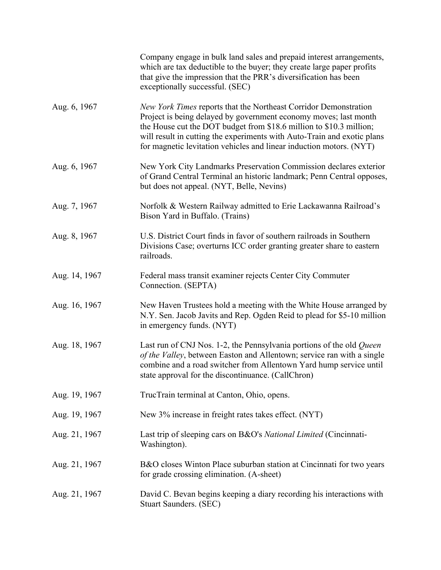|               | Company engage in bulk land sales and prepaid interest arrangements,<br>which are tax deductible to the buyer; they create large paper profits<br>that give the impression that the PRR's diversification has been<br>exceptionally successful. (SEC)                                                                                                         |
|---------------|---------------------------------------------------------------------------------------------------------------------------------------------------------------------------------------------------------------------------------------------------------------------------------------------------------------------------------------------------------------|
| Aug. 6, 1967  | New York Times reports that the Northeast Corridor Demonstration<br>Project is being delayed by government economy moves; last month<br>the House cut the DOT budget from \$18.6 million to \$10.3 million;<br>will result in cutting the experiments with Auto-Train and exotic plans<br>for magnetic levitation vehicles and linear induction motors. (NYT) |
| Aug. 6, 1967  | New York City Landmarks Preservation Commission declares exterior<br>of Grand Central Terminal an historic landmark; Penn Central opposes,<br>but does not appeal. (NYT, Belle, Nevins)                                                                                                                                                                       |
| Aug. 7, 1967  | Norfolk & Western Railway admitted to Erie Lackawanna Railroad's<br>Bison Yard in Buffalo. (Trains)                                                                                                                                                                                                                                                           |
| Aug. 8, 1967  | U.S. District Court finds in favor of southern railroads in Southern<br>Divisions Case; overturns ICC order granting greater share to eastern<br>railroads.                                                                                                                                                                                                   |
| Aug. 14, 1967 | Federal mass transit examiner rejects Center City Commuter<br>Connection. (SEPTA)                                                                                                                                                                                                                                                                             |
| Aug. 16, 1967 | New Haven Trustees hold a meeting with the White House arranged by<br>N.Y. Sen. Jacob Javits and Rep. Ogden Reid to plead for \$5-10 million<br>in emergency funds. (NYT)                                                                                                                                                                                     |
| Aug. 18, 1967 | Last run of CNJ Nos. 1-2, the Pennsylvania portions of the old Queen<br>of the Valley, between Easton and Allentown; service ran with a single<br>combine and a road switcher from Allentown Yard hump service until<br>state approval for the discontinuance. (CallChron)                                                                                    |
| Aug. 19, 1967 | TrucTrain terminal at Canton, Ohio, opens.                                                                                                                                                                                                                                                                                                                    |
| Aug. 19, 1967 | New 3% increase in freight rates takes effect. (NYT)                                                                                                                                                                                                                                                                                                          |
| Aug. 21, 1967 | Last trip of sleeping cars on B&O's National Limited (Cincinnati-<br>Washington).                                                                                                                                                                                                                                                                             |
| Aug. 21, 1967 | B&O closes Winton Place suburban station at Cincinnati for two years<br>for grade crossing elimination. (A-sheet)                                                                                                                                                                                                                                             |
| Aug. 21, 1967 | David C. Bevan begins keeping a diary recording his interactions with<br>Stuart Saunders. (SEC)                                                                                                                                                                                                                                                               |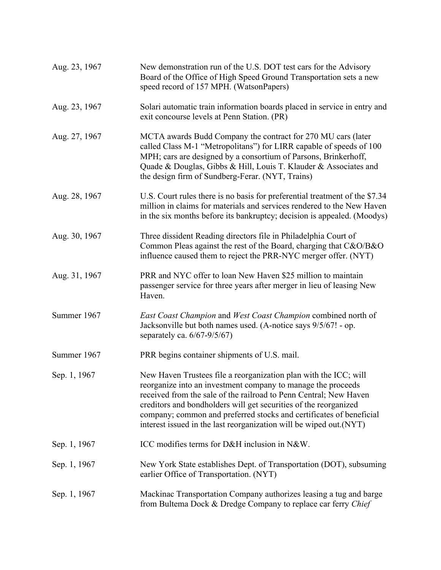| Aug. 23, 1967 | New demonstration run of the U.S. DOT test cars for the Advisory<br>Board of the Office of High Speed Ground Transportation sets a new<br>speed record of 157 MPH. (WatsonPapers)                                                                                                                                                                                                                                      |
|---------------|------------------------------------------------------------------------------------------------------------------------------------------------------------------------------------------------------------------------------------------------------------------------------------------------------------------------------------------------------------------------------------------------------------------------|
| Aug. 23, 1967 | Solari automatic train information boards placed in service in entry and<br>exit concourse levels at Penn Station. (PR)                                                                                                                                                                                                                                                                                                |
| Aug. 27, 1967 | MCTA awards Budd Company the contract for 270 MU cars (later<br>called Class M-1 "Metropolitans") for LIRR capable of speeds of 100<br>MPH; cars are designed by a consortium of Parsons, Brinkerhoff,<br>Quade & Douglas, Gibbs & Hill, Louis T. Klauder & Associates and<br>the design firm of Sundberg-Ferar. (NYT, Trains)                                                                                         |
| Aug. 28, 1967 | U.S. Court rules there is no basis for preferential treatment of the \$7.34<br>million in claims for materials and services rendered to the New Haven<br>in the six months before its bankruptcy; decision is appealed. (Moodys)                                                                                                                                                                                       |
| Aug. 30, 1967 | Three dissident Reading directors file in Philadelphia Court of<br>Common Pleas against the rest of the Board, charging that C&O/B&O<br>influence caused them to reject the PRR-NYC merger offer. (NYT)                                                                                                                                                                                                                |
| Aug. 31, 1967 | PRR and NYC offer to loan New Haven \$25 million to maintain<br>passenger service for three years after merger in lieu of leasing New<br>Haven.                                                                                                                                                                                                                                                                        |
| Summer 1967   | East Coast Champion and West Coast Champion combined north of<br>Jacksonville but both names used. (A-notice says 9/5/67! - op.<br>separately ca. $6/67-9/5/67$ )                                                                                                                                                                                                                                                      |
| Summer 1967   | PRR begins container shipments of U.S. mail.                                                                                                                                                                                                                                                                                                                                                                           |
| Sep. 1, 1967  | New Haven Trustees file a reorganization plan with the ICC; will<br>reorganize into an investment company to manage the proceeds<br>received from the sale of the railroad to Penn Central; New Haven<br>creditors and bondholders will get securities of the reorganized<br>company; common and preferred stocks and certificates of beneficial<br>interest issued in the last reorganization will be wiped out.(NYT) |
| Sep. 1, 1967  | ICC modifies terms for D&H inclusion in N&W.                                                                                                                                                                                                                                                                                                                                                                           |
| Sep. 1, 1967  | New York State establishes Dept. of Transportation (DOT), subsuming<br>earlier Office of Transportation. (NYT)                                                                                                                                                                                                                                                                                                         |
| Sep. 1, 1967  | Mackinac Transportation Company authorizes leasing a tug and barge<br>from Bultema Dock & Dredge Company to replace car ferry Chief                                                                                                                                                                                                                                                                                    |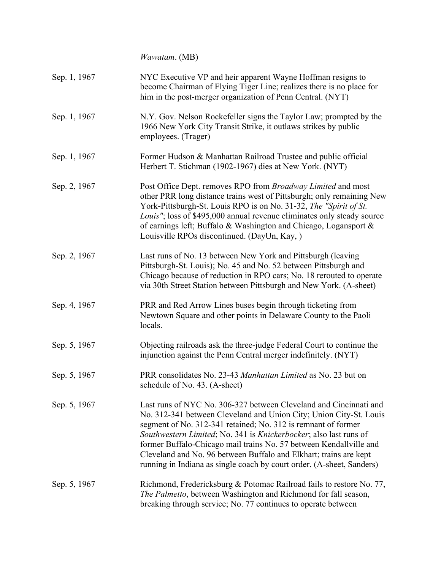*Wawatam*. (MB) Sep. 1, 1967 NYC Executive VP and heir apparent Wayne Hoffman resigns to become Chairman of Flying Tiger Line; realizes there is no place for him in the post-merger organization of Penn Central. (NYT) Sep. 1, 1967 N.Y. Gov. Nelson Rockefeller signs the Taylor Law; prompted by the 1966 New York City Transit Strike, it outlaws strikes by public employees. (Trager) Sep. 1, 1967 Former Hudson & Manhattan Railroad Trustee and public official Herbert T. Stichman (1902-1967) dies at New York. (NYT) Sep. 2, 1967 Post Office Dept. removes RPO from *Broadway Limited* and most other PRR long distance trains west of Pittsburgh; only remaining New York-Pittsburgh-St. Louis RPO is on No. 31-32, *The "Spirit of St. Louis"*; loss of \$495,000 annual revenue eliminates only steady source of earnings left; Buffalo & Washington and Chicago, Logansport & Louisville RPOs discontinued. (DayUn, Kay, ) Sep. 2, 1967 Last runs of No. 13 between New York and Pittsburgh (leaving Pittsburgh-St. Louis); No. 45 and No. 52 between Pittsburgh and Chicago because of reduction in RPO cars; No. 18 rerouted to operate via 30th Street Station between Pittsburgh and New York. (A-sheet) Sep. 4, 1967 PRR and Red Arrow Lines buses begin through ticketing from Newtown Square and other points in Delaware County to the Paoli locals. Sep. 5, 1967 Objecting railroads ask the three-judge Federal Court to continue the injunction against the Penn Central merger indefinitely. (NYT) Sep. 5, 1967 PRR consolidates No. 23-43 *Manhattan Limited* as No. 23 but on schedule of No. 43. (A-sheet) Sep. 5, 1967 Last runs of NYC No. 306-327 between Cleveland and Cincinnati and No. 312-341 between Cleveland and Union City; Union City-St. Louis segment of No. 312-341 retained; No. 312 is remnant of former *Southwestern Limited*; No. 341 is *Knickerbocker*; also last runs of former Buffalo-Chicago mail trains No. 57 between Kendallville and Cleveland and No. 96 between Buffalo and Elkhart; trains are kept running in Indiana as single coach by court order. (A-sheet, Sanders) Sep. 5, 1967 Richmond, Fredericksburg & Potomac Railroad fails to restore No. 77, *The Palmetto*, between Washington and Richmond for fall season, breaking through service; No. 77 continues to operate between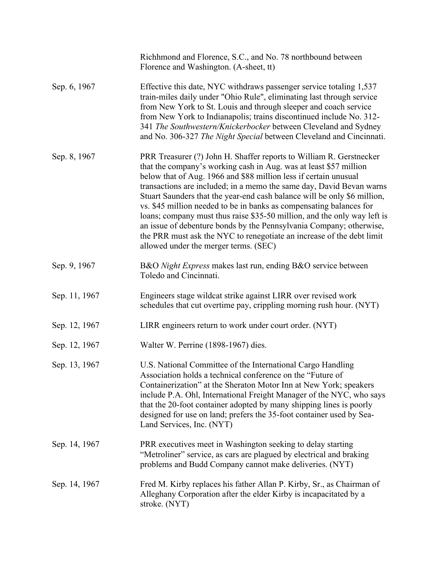|               | Richhmond and Florence, S.C., and No. 78 northbound between<br>Florence and Washington. (A-sheet, tt)                                                                                                                                                                                                                                                                                                                                                                                                                                                                                                                                                                                                        |
|---------------|--------------------------------------------------------------------------------------------------------------------------------------------------------------------------------------------------------------------------------------------------------------------------------------------------------------------------------------------------------------------------------------------------------------------------------------------------------------------------------------------------------------------------------------------------------------------------------------------------------------------------------------------------------------------------------------------------------------|
| Sep. 6, 1967  | Effective this date, NYC withdraws passenger service totaling 1,537<br>train-miles daily under "Ohio Rule", eliminating last through service<br>from New York to St. Louis and through sleeper and coach service<br>from New York to Indianapolis; trains discontinued include No. 312-<br>341 The Southwestern/Knickerbocker between Cleveland and Sydney<br>and No. 306-327 The Night Special between Cleveland and Cincinnati.                                                                                                                                                                                                                                                                            |
| Sep. 8, 1967  | PRR Treasurer (?) John H. Shaffer reports to William R. Gerstnecker<br>that the company's working cash in Aug. was at least \$57 million<br>below that of Aug. 1966 and \$88 million less if certain unusual<br>transactions are included; in a memo the same day, David Bevan warns<br>Stuart Saunders that the year-end cash balance will be only \$6 million,<br>vs. \$45 million needed to be in banks as compensating balances for<br>loans; company must thus raise \$35-50 million, and the only way left is<br>an issue of debenture bonds by the Pennsylvania Company; otherwise,<br>the PRR must ask the NYC to renegotiate an increase of the debt limit<br>allowed under the merger terms. (SEC) |
| Sep. 9, 1967  | B&O Night Express makes last run, ending B&O service between<br>Toledo and Cincinnati.                                                                                                                                                                                                                                                                                                                                                                                                                                                                                                                                                                                                                       |
| Sep. 11, 1967 | Engineers stage wildcat strike against LIRR over revised work<br>schedules that cut overtime pay, crippling morning rush hour. (NYT)                                                                                                                                                                                                                                                                                                                                                                                                                                                                                                                                                                         |
| Sep. 12, 1967 | LIRR engineers return to work under court order. (NYT)                                                                                                                                                                                                                                                                                                                                                                                                                                                                                                                                                                                                                                                       |
| Sep. 12, 1967 | Walter W. Perrine (1898-1967) dies.                                                                                                                                                                                                                                                                                                                                                                                                                                                                                                                                                                                                                                                                          |
| Sep. 13, 1967 | U.S. National Committee of the International Cargo Handling<br>Association holds a technical conference on the "Future of<br>Containerization" at the Sheraton Motor Inn at New York; speakers<br>include P.A. Ohl, International Freight Manager of the NYC, who says<br>that the 20-foot container adopted by many shipping lines is poorly<br>designed for use on land; prefers the 35-foot container used by Sea-<br>Land Services, Inc. (NYT)                                                                                                                                                                                                                                                           |
| Sep. 14, 1967 | PRR executives meet in Washington seeking to delay starting<br>"Metroliner" service, as cars are plagued by electrical and braking<br>problems and Budd Company cannot make deliveries. (NYT)                                                                                                                                                                                                                                                                                                                                                                                                                                                                                                                |
| Sep. 14, 1967 | Fred M. Kirby replaces his father Allan P. Kirby, Sr., as Chairman of<br>Alleghany Corporation after the elder Kirby is incapacitated by a<br>stroke. (NYT)                                                                                                                                                                                                                                                                                                                                                                                                                                                                                                                                                  |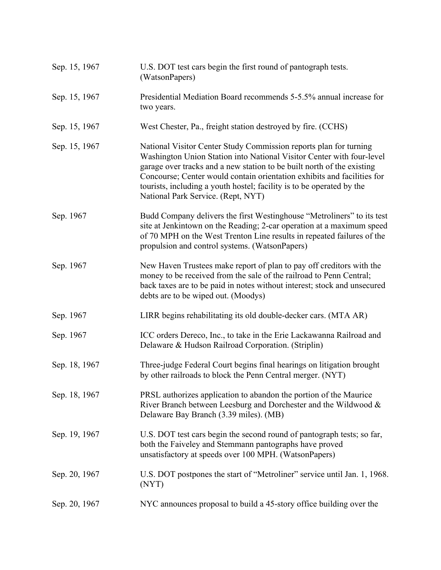| Sep. 15, 1967 | U.S. DOT test cars begin the first round of pantograph tests.<br>(WatsonPapers)                                                                                                                                                                                                                                                                                                                                |
|---------------|----------------------------------------------------------------------------------------------------------------------------------------------------------------------------------------------------------------------------------------------------------------------------------------------------------------------------------------------------------------------------------------------------------------|
| Sep. 15, 1967 | Presidential Mediation Board recommends 5-5.5% annual increase for<br>two years.                                                                                                                                                                                                                                                                                                                               |
| Sep. 15, 1967 | West Chester, Pa., freight station destroyed by fire. (CCHS)                                                                                                                                                                                                                                                                                                                                                   |
| Sep. 15, 1967 | National Visitor Center Study Commission reports plan for turning<br>Washington Union Station into National Visitor Center with four-level<br>garage over tracks and a new station to be built north of the existing<br>Concourse; Center would contain orientation exhibits and facilities for<br>tourists, including a youth hostel; facility is to be operated by the<br>National Park Service. (Rept, NYT) |
| Sep. 1967     | Budd Company delivers the first Westinghouse "Metroliners" to its test<br>site at Jenkintown on the Reading; 2-car operation at a maximum speed<br>of 70 MPH on the West Trenton Line results in repeated failures of the<br>propulsion and control systems. (WatsonPapers)                                                                                                                                    |
| Sep. 1967     | New Haven Trustees make report of plan to pay off creditors with the<br>money to be received from the sale of the railroad to Penn Central;<br>back taxes are to be paid in notes without interest; stock and unsecured<br>debts are to be wiped out. (Moodys)                                                                                                                                                 |
| Sep. 1967     | LIRR begins rehabilitating its old double-decker cars. (MTA AR)                                                                                                                                                                                                                                                                                                                                                |
| Sep. 1967     | ICC orders Dereco, Inc., to take in the Erie Lackawanna Railroad and<br>Delaware & Hudson Railroad Corporation. (Striplin)                                                                                                                                                                                                                                                                                     |
| Sep. 18, 1967 | Three-judge Federal Court begins final hearings on litigation brought<br>by other railroads to block the Penn Central merger. (NYT)                                                                                                                                                                                                                                                                            |
| Sep. 18, 1967 | PRSL authorizes application to abandon the portion of the Maurice<br>River Branch between Leesburg and Dorchester and the Wildwood &<br>Delaware Bay Branch (3.39 miles). (MB)                                                                                                                                                                                                                                 |
| Sep. 19, 1967 | U.S. DOT test cars begin the second round of pantograph tests; so far,<br>both the Faiveley and Stemmann pantographs have proved<br>unsatisfactory at speeds over 100 MPH. (WatsonPapers)                                                                                                                                                                                                                      |
| Sep. 20, 1967 | U.S. DOT postpones the start of "Metroliner" service until Jan. 1, 1968.<br>(NYT)                                                                                                                                                                                                                                                                                                                              |
| Sep. 20, 1967 | NYC announces proposal to build a 45-story office building over the                                                                                                                                                                                                                                                                                                                                            |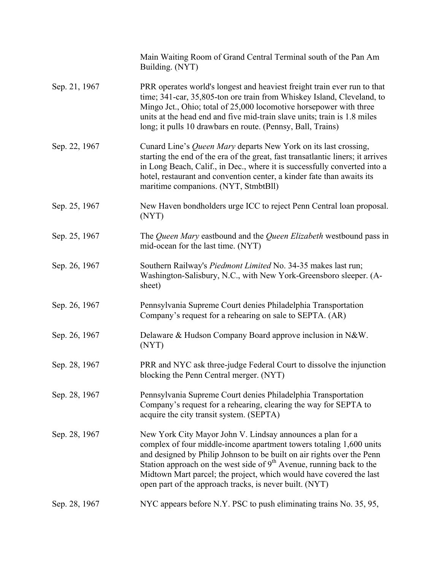|               | Main Waiting Room of Grand Central Terminal south of the Pan Am<br>Building. (NYT)                                                                                                                                                                                                                                                                                                                                      |
|---------------|-------------------------------------------------------------------------------------------------------------------------------------------------------------------------------------------------------------------------------------------------------------------------------------------------------------------------------------------------------------------------------------------------------------------------|
| Sep. 21, 1967 | PRR operates world's longest and heaviest freight train ever run to that<br>time; 341-car, 35,805-ton ore train from Whiskey Island, Cleveland, to<br>Mingo Jct., Ohio; total of 25,000 locomotive horsepower with three<br>units at the head end and five mid-train slave units; train is 1.8 miles<br>long; it pulls 10 drawbars en route. (Pennsy, Ball, Trains)                                                     |
| Sep. 22, 1967 | Cunard Line's <i>Queen Mary</i> departs New York on its last crossing,<br>starting the end of the era of the great, fast transatlantic liners; it arrives<br>in Long Beach, Calif., in Dec., where it is successfully converted into a<br>hotel, restaurant and convention center, a kinder fate than awaits its<br>maritime companions. (NYT, StmbtBll)                                                                |
| Sep. 25, 1967 | New Haven bondholders urge ICC to reject Penn Central loan proposal.<br>(NYT)                                                                                                                                                                                                                                                                                                                                           |
| Sep. 25, 1967 | The Queen Mary eastbound and the Queen Elizabeth westbound pass in<br>mid-ocean for the last time. (NYT)                                                                                                                                                                                                                                                                                                                |
| Sep. 26, 1967 | Southern Railway's <i>Piedmont Limited</i> No. 34-35 makes last run;<br>Washington-Salisbury, N.C., with New York-Greensboro sleeper. (A-<br>sheet)                                                                                                                                                                                                                                                                     |
| Sep. 26, 1967 | Pennsylvania Supreme Court denies Philadelphia Transportation<br>Company's request for a rehearing on sale to SEPTA. (AR)                                                                                                                                                                                                                                                                                               |
| Sep. 26, 1967 | Delaware & Hudson Company Board approve inclusion in N&W.<br>(NYT)                                                                                                                                                                                                                                                                                                                                                      |
| Sep. 28, 1967 | PRR and NYC ask three-judge Federal Court to dissolve the injunction<br>blocking the Penn Central merger. (NYT)                                                                                                                                                                                                                                                                                                         |
| Sep. 28, 1967 | Pennsylvania Supreme Court denies Philadelphia Transportation<br>Company's request for a rehearing, clearing the way for SEPTA to<br>acquire the city transit system. (SEPTA)                                                                                                                                                                                                                                           |
| Sep. 28, 1967 | New York City Mayor John V. Lindsay announces a plan for a<br>complex of four middle-income apartment towers totaling 1,600 units<br>and designed by Philip Johnson to be built on air rights over the Penn<br>Station approach on the west side of $9th$ Avenue, running back to the<br>Midtown Mart parcel; the project, which would have covered the last<br>open part of the approach tracks, is never built. (NYT) |
| Sep. 28, 1967 | NYC appears before N.Y. PSC to push eliminating trains No. 35, 95,                                                                                                                                                                                                                                                                                                                                                      |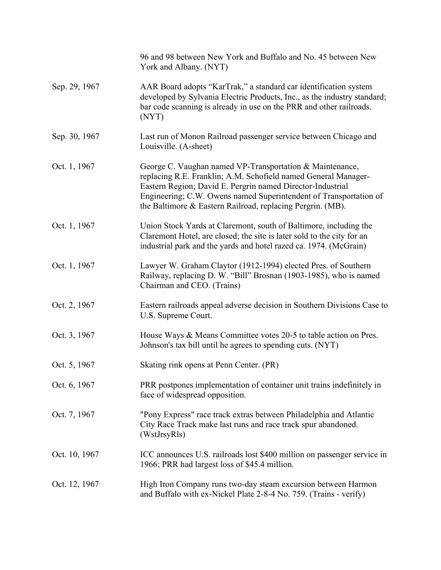|               | 96 and 98 between New York and Buffalo and No. 45 between New<br>York and Albany. (NYT)                                                                                                                                                                                                                                     |
|---------------|-----------------------------------------------------------------------------------------------------------------------------------------------------------------------------------------------------------------------------------------------------------------------------------------------------------------------------|
| Sep. 29, 1967 | AAR Board adopts "KarTrak," a standard car identification system<br>developed by Sylvania Electric Products, Inc., as the industry standard;<br>bar code scanning is already in use on the PRR and other railroads.<br>(NYT)                                                                                                |
| Sep. 30, 1967 | Last run of Monon Railroad passenger service between Chicago and<br>Louisville. (A-sheet)                                                                                                                                                                                                                                   |
| Oct. 1, 1967  | George C. Vaughan named VP-Transportation & Maintenance,<br>replacing R.E. Franklin; A.M. Schofield named General Manager-<br>Eastern Region; David E. Pergrin named Director-Industrial<br>Engineering; C.W. Owens named Superintendent of Transportation of<br>the Baltimore & Eastern Railroad, replacing Pergrin. (MB). |
| Oct. 1, 1967  | Union Stock Yards at Claremont, south of Baltimore, including the<br>Claremont Hotel, are closed; the site is later sold to the city for an<br>industrial park and the yards and hotel razed ca. 1974. (McGrain)                                                                                                            |
| Oct. 1, 1967  | Lawyer W. Graham Claytor (1912-1994) elected Pres. of Southern<br>Railway, replacing D. W. "Bill" Brosnan (1903-1985), who is named<br>Chairman and CEO. (Trains)                                                                                                                                                           |
| Oct. 2, 1967  | Eastern railroads appeal adverse decision in Southern Divisions Case to<br>U.S. Supreme Court.                                                                                                                                                                                                                              |
| Oct. 3, 1967  | House Ways & Means Committee votes 20-5 to table action on Pres.<br>Johnson's tax bill until he agrees to spending cuts. (NYT)                                                                                                                                                                                              |
| Oct. 5, 1967  | Skating rink opens at Penn Center. (PR)                                                                                                                                                                                                                                                                                     |
| Oct. 6, 1967  | PRR postpones implementation of container unit trains indefinitely in<br>face of widespread opposition.                                                                                                                                                                                                                     |
| Oct. 7, 1967  | "Pony Express" race track extras between Philadelphia and Atlantic<br>City Race Track make last runs and race track spur abandoned.<br>(WstJrsyRls)                                                                                                                                                                         |
| Oct. 10, 1967 | ICC announces U.S. railroads lost \$400 million on passenger service in<br>1966; PRR had largest loss of \$45.4 million.                                                                                                                                                                                                    |
| Oct. 12, 1967 | High Iron Company runs two-day steam excursion between Harmon<br>and Buffalo with ex-Nickel Plate 2-8-4 No. 759. (Trains - verify)                                                                                                                                                                                          |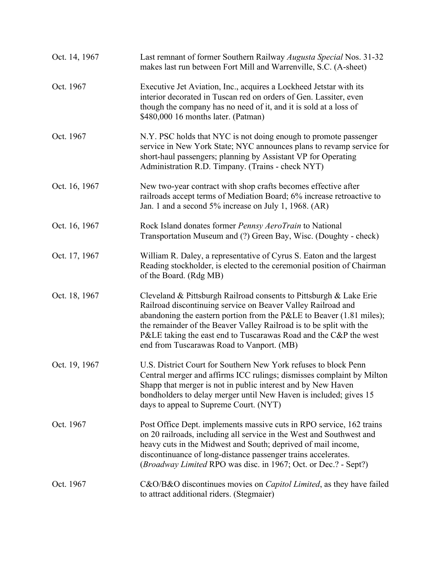| Oct. 14, 1967 | Last remnant of former Southern Railway Augusta Special Nos. 31-32<br>makes last run between Fort Mill and Warrenville, S.C. (A-sheet)                                                                                                                                                                                                                                                                        |
|---------------|---------------------------------------------------------------------------------------------------------------------------------------------------------------------------------------------------------------------------------------------------------------------------------------------------------------------------------------------------------------------------------------------------------------|
| Oct. 1967     | Executive Jet Aviation, Inc., acquires a Lockheed Jetstar with its<br>interior decorated in Tuscan red on orders of Gen. Lassiter, even<br>though the company has no need of it, and it is sold at a loss of<br>\$480,000 16 months later. (Patman)                                                                                                                                                           |
| Oct. 1967     | N.Y. PSC holds that NYC is not doing enough to promote passenger<br>service in New York State; NYC announces plans to revamp service for<br>short-haul passengers; planning by Assistant VP for Operating<br>Administration R.D. Timpany. (Trains - check NYT)                                                                                                                                                |
| Oct. 16, 1967 | New two-year contract with shop crafts becomes effective after<br>railroads accept terms of Mediation Board; 6% increase retroactive to<br>Jan. 1 and a second 5% increase on July 1, 1968. (AR)                                                                                                                                                                                                              |
| Oct. 16, 1967 | Rock Island donates former Pennsy AeroTrain to National<br>Transportation Museum and (?) Green Bay, Wisc. (Doughty - check)                                                                                                                                                                                                                                                                                   |
| Oct. 17, 1967 | William R. Daley, a representative of Cyrus S. Eaton and the largest<br>Reading stockholder, is elected to the ceremonial position of Chairman<br>of the Board. (Rdg MB)                                                                                                                                                                                                                                      |
| Oct. 18, 1967 | Cleveland & Pittsburgh Railroad consents to Pittsburgh & Lake Erie<br>Railroad discontinuing service on Beaver Valley Railroad and<br>abandoning the eastern portion from the P&LE to Beaver $(1.81 \text{ miles})$ ;<br>the remainder of the Beaver Valley Railroad is to be split with the<br>P&LE taking the east end to Tuscarawas Road and the C&P the west<br>end from Tuscarawas Road to Vanport. (MB) |
| Oct. 19, 1967 | U.S. District Court for Southern New York refuses to block Penn<br>Central merger and affirms ICC rulings; dismisses complaint by Milton<br>Shapp that merger is not in public interest and by New Haven<br>bondholders to delay merger until New Haven is included; gives 15<br>days to appeal to Supreme Court. (NYT)                                                                                       |
| Oct. 1967     | Post Office Dept. implements massive cuts in RPO service, 162 trains<br>on 20 railroads, including all service in the West and Southwest and<br>heavy cuts in the Midwest and South; deprived of mail income,<br>discontinuance of long-distance passenger trains accelerates.<br>(Broadway Limited RPO was disc. in 1967; Oct. or Dec.? - Sept?)                                                             |
| Oct. 1967     | C&O/B&O discontinues movies on <i>Capitol Limited</i> , as they have failed<br>to attract additional riders. (Stegmaier)                                                                                                                                                                                                                                                                                      |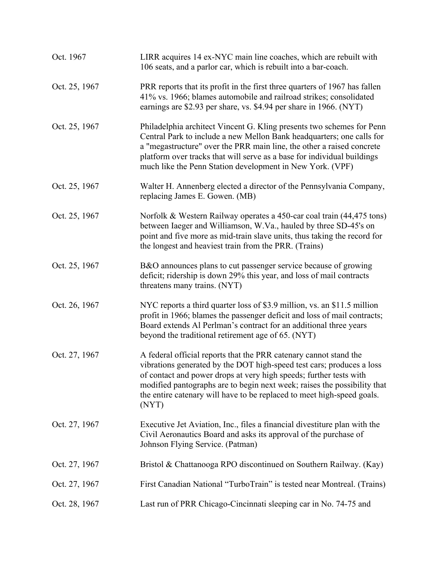| Oct. 1967     | LIRR acquires 14 ex-NYC main line coaches, which are rebuilt with<br>106 seats, and a parlor car, which is rebuilt into a bar-coach.                                                                                                                                                                                                                                            |
|---------------|---------------------------------------------------------------------------------------------------------------------------------------------------------------------------------------------------------------------------------------------------------------------------------------------------------------------------------------------------------------------------------|
| Oct. 25, 1967 | PRR reports that its profit in the first three quarters of 1967 has fallen<br>41% vs. 1966; blames automobile and railroad strikes; consolidated<br>earnings are \$2.93 per share, vs. \$4.94 per share in 1966. (NYT)                                                                                                                                                          |
| Oct. 25, 1967 | Philadelphia architect Vincent G. Kling presents two schemes for Penn<br>Central Park to include a new Mellon Bank headquarters; one calls for<br>a "megastructure" over the PRR main line, the other a raised concrete<br>platform over tracks that will serve as a base for individual buildings<br>much like the Penn Station development in New York. (VPF)                 |
| Oct. 25, 1967 | Walter H. Annenberg elected a director of the Pennsylvania Company,<br>replacing James E. Gowen. (MB)                                                                                                                                                                                                                                                                           |
| Oct. 25, 1967 | Norfolk & Western Railway operates a 450-car coal train (44,475 tons)<br>between Iaeger and Williamson, W.Va., hauled by three SD-45's on<br>point and five more as mid-train slave units, thus taking the record for<br>the longest and heaviest train from the PRR. (Trains)                                                                                                  |
| Oct. 25, 1967 | B&O announces plans to cut passenger service because of growing<br>deficit; ridership is down 29% this year, and loss of mail contracts<br>threatens many trains. (NYT)                                                                                                                                                                                                         |
| Oct. 26, 1967 | NYC reports a third quarter loss of \$3.9 million, vs. an \$11.5 million<br>profit in 1966; blames the passenger deficit and loss of mail contracts;<br>Board extends Al Perlman's contract for an additional three years<br>beyond the traditional retirement age of 65. (NYT)                                                                                                 |
| Oct. 27, 1967 | A federal official reports that the PRR catenary cannot stand the<br>vibrations generated by the DOT high-speed test cars; produces a loss<br>of contact and power drops at very high speeds; further tests with<br>modified pantographs are to begin next week; raises the possibility that<br>the entire catenary will have to be replaced to meet high-speed goals.<br>(NYT) |
| Oct. 27, 1967 | Executive Jet Aviation, Inc., files a financial divestiture plan with the<br>Civil Aeronautics Board and asks its approval of the purchase of<br>Johnson Flying Service. (Patman)                                                                                                                                                                                               |
| Oct. 27, 1967 | Bristol & Chattanooga RPO discontinued on Southern Railway. (Kay)                                                                                                                                                                                                                                                                                                               |
| Oct. 27, 1967 | First Canadian National "TurboTrain" is tested near Montreal. (Trains)                                                                                                                                                                                                                                                                                                          |
| Oct. 28, 1967 | Last run of PRR Chicago-Cincinnati sleeping car in No. 74-75 and                                                                                                                                                                                                                                                                                                                |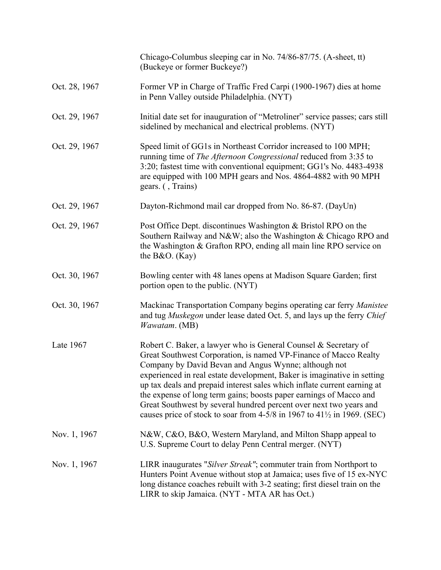|               | Chicago-Columbus sleeping car in No. 74/86-87/75. (A-sheet, tt)<br>(Buckeye or former Buckeye?)                                                                                                                                                                                                                                                                                                                                                                                                                                                                                        |
|---------------|----------------------------------------------------------------------------------------------------------------------------------------------------------------------------------------------------------------------------------------------------------------------------------------------------------------------------------------------------------------------------------------------------------------------------------------------------------------------------------------------------------------------------------------------------------------------------------------|
| Oct. 28, 1967 | Former VP in Charge of Traffic Fred Carpi (1900-1967) dies at home<br>in Penn Valley outside Philadelphia. (NYT)                                                                                                                                                                                                                                                                                                                                                                                                                                                                       |
| Oct. 29, 1967 | Initial date set for inauguration of "Metroliner" service passes; cars still<br>sidelined by mechanical and electrical problems. (NYT)                                                                                                                                                                                                                                                                                                                                                                                                                                                 |
| Oct. 29, 1967 | Speed limit of GG1s in Northeast Corridor increased to 100 MPH;<br>running time of <i>The Afternoon Congressional</i> reduced from 3:35 to<br>3:20; fastest time with conventional equipment; GG1's No. 4483-4938<br>are equipped with 100 MPH gears and Nos. 4864-4882 with 90 MPH<br>gears. (, Trains)                                                                                                                                                                                                                                                                               |
| Oct. 29, 1967 | Dayton-Richmond mail car dropped from No. 86-87. (DayUn)                                                                                                                                                                                                                                                                                                                                                                                                                                                                                                                               |
| Oct. 29, 1967 | Post Office Dept. discontinues Washington & Bristol RPO on the<br>Southern Railway and N&W also the Washington & Chicago RPO and<br>the Washington & Grafton RPO, ending all main line RPO service on<br>the $B&O.$ (Kay)                                                                                                                                                                                                                                                                                                                                                              |
| Oct. 30, 1967 | Bowling center with 48 lanes opens at Madison Square Garden; first<br>portion open to the public. (NYT)                                                                                                                                                                                                                                                                                                                                                                                                                                                                                |
| Oct. 30, 1967 | Mackinac Transportation Company begins operating car ferry Manistee<br>and tug Muskegon under lease dated Oct. 5, and lays up the ferry Chief<br>Wawatam. (MB)                                                                                                                                                                                                                                                                                                                                                                                                                         |
| Late 1967     | Robert C. Baker, a lawyer who is General Counsel & Secretary of<br>Great Southwest Corporation, is named VP-Finance of Macco Realty<br>Company by David Bevan and Angus Wynne; although not<br>experienced in real estate development, Baker is imaginative in setting<br>up tax deals and prepaid interest sales which inflate current earning at<br>the expense of long term gains; boosts paper earnings of Macco and<br>Great Southwest by several hundred percent over next two years and<br>causes price of stock to soar from $4-5/8$ in 1967 to $41\frac{1}{2}$ in 1969. (SEC) |
| Nov. 1, 1967  | N&W, C&O, B&O, Western Maryland, and Milton Shapp appeal to<br>U.S. Supreme Court to delay Penn Central merger. (NYT)                                                                                                                                                                                                                                                                                                                                                                                                                                                                  |
| Nov. 1, 1967  | LIRR inaugurates "Silver Streak"; commuter train from Northport to<br>Hunters Point Avenue without stop at Jamaica; uses five of 15 ex-NYC<br>long distance coaches rebuilt with 3-2 seating; first diesel train on the<br>LIRR to skip Jamaica. (NYT - MTA AR has Oct.)                                                                                                                                                                                                                                                                                                               |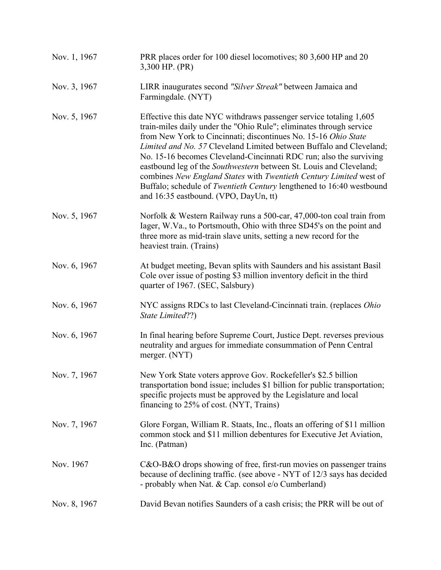| Nov. 1, 1967 | PRR places order for 100 diesel locomotives; 80 3,600 HP and 20<br>3,300 HP. (PR)                                                                                                                                                                                                                                                                                                                                                                                                                                                                                                                                            |
|--------------|------------------------------------------------------------------------------------------------------------------------------------------------------------------------------------------------------------------------------------------------------------------------------------------------------------------------------------------------------------------------------------------------------------------------------------------------------------------------------------------------------------------------------------------------------------------------------------------------------------------------------|
| Nov. 3, 1967 | LIRR inaugurates second "Silver Streak" between Jamaica and<br>Farmingdale. (NYT)                                                                                                                                                                                                                                                                                                                                                                                                                                                                                                                                            |
| Nov. 5, 1967 | Effective this date NYC withdraws passenger service totaling 1,605<br>train-miles daily under the "Ohio Rule"; eliminates through service<br>from New York to Cincinnati; discontinues No. 15-16 Ohio State<br>Limited and No. 57 Cleveland Limited between Buffalo and Cleveland;<br>No. 15-16 becomes Cleveland-Cincinnati RDC run; also the surviving<br>eastbound leg of the <i>Southwestern</i> between St. Louis and Cleveland;<br>combines New England States with Twentieth Century Limited west of<br>Buffalo; schedule of Twentieth Century lengthened to 16:40 westbound<br>and 16:35 eastbound. (VPO, DayUn, tt) |
| Nov. 5, 1967 | Norfolk & Western Railway runs a 500-car, 47,000-ton coal train from<br>Iager, W.Va., to Portsmouth, Ohio with three SD45's on the point and<br>three more as mid-train slave units, setting a new record for the<br>heaviest train. (Trains)                                                                                                                                                                                                                                                                                                                                                                                |
| Nov. 6, 1967 | At budget meeting, Bevan splits with Saunders and his assistant Basil<br>Cole over issue of posting \$3 million inventory deficit in the third<br>quarter of 1967. (SEC, Salsbury)                                                                                                                                                                                                                                                                                                                                                                                                                                           |
| Nov. 6, 1967 | NYC assigns RDCs to last Cleveland-Cincinnati train. (replaces Ohio<br>State Limited??)                                                                                                                                                                                                                                                                                                                                                                                                                                                                                                                                      |
| Nov. 6, 1967 | In final hearing before Supreme Court, Justice Dept. reverses previous<br>neutrality and argues for immediate consummation of Penn Central<br>merger. (NYT)                                                                                                                                                                                                                                                                                                                                                                                                                                                                  |
| Nov. 7, 1967 | New York State voters approve Gov. Rockefeller's \$2.5 billion<br>transportation bond issue; includes \$1 billion for public transportation;<br>specific projects must be approved by the Legislature and local<br>financing to 25% of cost. (NYT, Trains)                                                                                                                                                                                                                                                                                                                                                                   |
| Nov. 7, 1967 | Glore Forgan, William R. Staats, Inc., floats an offering of \$11 million<br>common stock and \$11 million debentures for Executive Jet Aviation,<br>Inc. (Patman)                                                                                                                                                                                                                                                                                                                                                                                                                                                           |
| Nov. 1967    | C&O-B&O drops showing of free, first-run movies on passenger trains<br>because of declining traffic. (see above - NYT of 12/3 says has decided<br>- probably when Nat. & Cap. consol e/o Cumberland)                                                                                                                                                                                                                                                                                                                                                                                                                         |
| Nov. 8, 1967 | David Bevan notifies Saunders of a cash crisis; the PRR will be out of                                                                                                                                                                                                                                                                                                                                                                                                                                                                                                                                                       |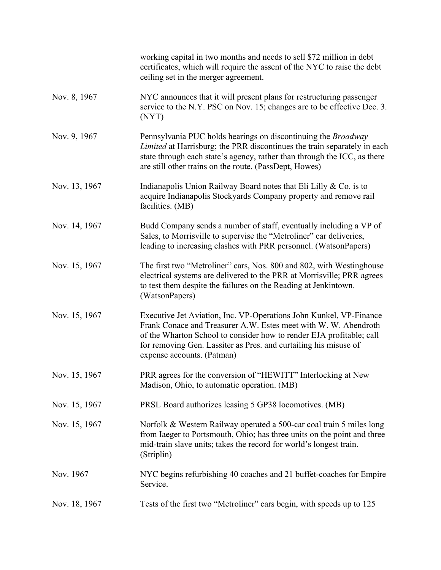|               | working capital in two months and needs to sell \$72 million in debt<br>certificates, which will require the assent of the NYC to raise the debt<br>ceiling set in the merger agreement.                                                                                                                       |
|---------------|----------------------------------------------------------------------------------------------------------------------------------------------------------------------------------------------------------------------------------------------------------------------------------------------------------------|
| Nov. 8, 1967  | NYC announces that it will present plans for restructuring passenger<br>service to the N.Y. PSC on Nov. 15; changes are to be effective Dec. 3.<br>(NYT)                                                                                                                                                       |
| Nov. 9, 1967  | Pennsylvania PUC holds hearings on discontinuing the <i>Broadway</i><br>Limited at Harrisburg; the PRR discontinues the train separately in each<br>state through each state's agency, rather than through the ICC, as there<br>are still other trains on the route. (PassDept, Howes)                         |
| Nov. 13, 1967 | Indianapolis Union Railway Board notes that Eli Lilly $& Co.$ is to<br>acquire Indianapolis Stockyards Company property and remove rail<br>facilities. (MB)                                                                                                                                                    |
| Nov. 14, 1967 | Budd Company sends a number of staff, eventually including a VP of<br>Sales, to Morrisville to supervise the "Metroliner" car deliveries,<br>leading to increasing clashes with PRR personnel. (WatsonPapers)                                                                                                  |
| Nov. 15, 1967 | The first two "Metroliner" cars, Nos. 800 and 802, with Westinghouse<br>electrical systems are delivered to the PRR at Morrisville; PRR agrees<br>to test them despite the failures on the Reading at Jenkintown.<br>(WatsonPapers)                                                                            |
| Nov. 15, 1967 | Executive Jet Aviation, Inc. VP-Operations John Kunkel, VP-Finance<br>Frank Conace and Treasurer A.W. Estes meet with W.W. Abendroth<br>of the Wharton School to consider how to render EJA profitable; call<br>for removing Gen. Lassiter as Pres. and curtailing his misuse of<br>expense accounts. (Patman) |
| Nov. 15, 1967 | PRR agrees for the conversion of "HEWITT" Interlocking at New<br>Madison, Ohio, to automatic operation. (MB)                                                                                                                                                                                                   |
| Nov. 15, 1967 | PRSL Board authorizes leasing 5 GP38 locomotives. (MB)                                                                                                                                                                                                                                                         |
| Nov. 15, 1967 | Norfolk & Western Railway operated a 500-car coal train 5 miles long<br>from Iaeger to Portsmouth, Ohio; has three units on the point and three<br>mid-train slave units; takes the record for world's longest train.<br>(Striplin)                                                                            |
| Nov. 1967     | NYC begins refurbishing 40 coaches and 21 buffet-coaches for Empire<br>Service.                                                                                                                                                                                                                                |
| Nov. 18, 1967 | Tests of the first two "Metroliner" cars begin, with speeds up to 125                                                                                                                                                                                                                                          |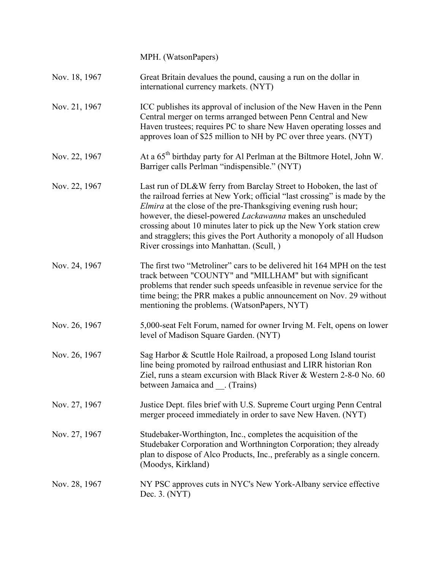|               | MPH. (WatsonPapers)                                                                                                                                                                                                                                                                                                                                                                                                                                                                    |
|---------------|----------------------------------------------------------------------------------------------------------------------------------------------------------------------------------------------------------------------------------------------------------------------------------------------------------------------------------------------------------------------------------------------------------------------------------------------------------------------------------------|
| Nov. 18, 1967 | Great Britain devalues the pound, causing a run on the dollar in<br>international currency markets. (NYT)                                                                                                                                                                                                                                                                                                                                                                              |
| Nov. 21, 1967 | ICC publishes its approval of inclusion of the New Haven in the Penn<br>Central merger on terms arranged between Penn Central and New<br>Haven trustees; requires PC to share New Haven operating losses and<br>approves loan of \$25 million to NH by PC over three years. (NYT)                                                                                                                                                                                                      |
| Nov. 22, 1967 | At a 65 <sup>th</sup> birthday party for Al Perlman at the Biltmore Hotel, John W.<br>Barriger calls Perlman "indispensible." (NYT)                                                                                                                                                                                                                                                                                                                                                    |
| Nov. 22, 1967 | Last run of DL&W ferry from Barclay Street to Hoboken, the last of<br>the railroad ferries at New York; official "last crossing" is made by the<br><i>Elmira</i> at the close of the pre-Thanksgiving evening rush hour;<br>however, the diesel-powered Lackawanna makes an unscheduled<br>crossing about 10 minutes later to pick up the New York station crew<br>and stragglers; this gives the Port Authority a monopoly of all Hudson<br>River crossings into Manhattan. (Scull, ) |
| Nov. 24, 1967 | The first two "Metroliner" cars to be delivered hit 164 MPH on the test<br>track between "COUNTY" and "MILLHAM" but with significant<br>problems that render such speeds unfeasible in revenue service for the<br>time being; the PRR makes a public announcement on Nov. 29 without<br>mentioning the problems. (WatsonPapers, NYT)                                                                                                                                                   |
| Nov. 26, 1967 | 5,000-seat Felt Forum, named for owner Irving M. Felt, opens on lower<br>level of Madison Square Garden. (NYT)                                                                                                                                                                                                                                                                                                                                                                         |
| Nov. 26, 1967 | Sag Harbor & Scuttle Hole Railroad, a proposed Long Island tourist<br>line being promoted by railroad enthusiast and LIRR historian Ron<br>Ziel, runs a steam excursion with Black River & Western 2-8-0 No. 60<br>between Jamaica and (Trains)                                                                                                                                                                                                                                        |
| Nov. 27, 1967 | Justice Dept. files brief with U.S. Supreme Court urging Penn Central<br>merger proceed immediately in order to save New Haven. (NYT)                                                                                                                                                                                                                                                                                                                                                  |
| Nov. 27, 1967 | Studebaker-Worthington, Inc., completes the acquisition of the<br>Studebaker Corporation and Worthnington Corporation; they already<br>plan to dispose of Alco Products, Inc., preferably as a single concern.<br>(Moodys, Kirkland)                                                                                                                                                                                                                                                   |
| Nov. 28, 1967 | NY PSC approves cuts in NYC's New York-Albany service effective<br>Dec. 3. (NYT)                                                                                                                                                                                                                                                                                                                                                                                                       |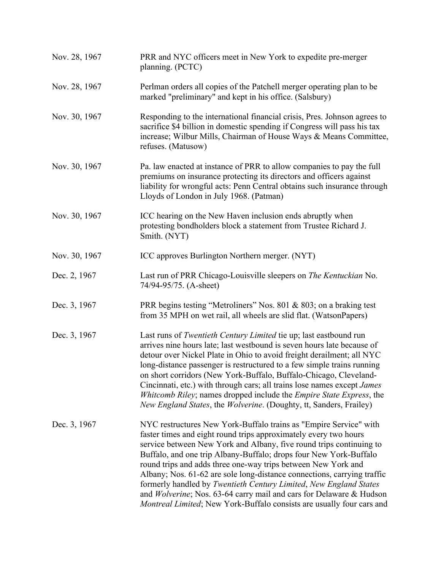| Nov. 28, 1967 | PRR and NYC officers meet in New York to expedite pre-merger<br>planning. (PCTC)                                                                                                                                                                                                                                                                                                                                                                                                                                                                                                                                                                   |
|---------------|----------------------------------------------------------------------------------------------------------------------------------------------------------------------------------------------------------------------------------------------------------------------------------------------------------------------------------------------------------------------------------------------------------------------------------------------------------------------------------------------------------------------------------------------------------------------------------------------------------------------------------------------------|
| Nov. 28, 1967 | Perlman orders all copies of the Patchell merger operating plan to be<br>marked "preliminary" and kept in his office. (Salsbury)                                                                                                                                                                                                                                                                                                                                                                                                                                                                                                                   |
| Nov. 30, 1967 | Responding to the international financial crisis, Pres. Johnson agrees to<br>sacrifice \$4 billion in domestic spending if Congress will pass his tax<br>increase; Wilbur Mills, Chairman of House Ways & Means Committee,<br>refuses. (Matusow)                                                                                                                                                                                                                                                                                                                                                                                                   |
| Nov. 30, 1967 | Pa. law enacted at instance of PRR to allow companies to pay the full<br>premiums on insurance protecting its directors and officers against<br>liability for wrongful acts: Penn Central obtains such insurance through<br>Lloyds of London in July 1968. (Patman)                                                                                                                                                                                                                                                                                                                                                                                |
| Nov. 30, 1967 | ICC hearing on the New Haven inclusion ends abruptly when<br>protesting bondholders block a statement from Trustee Richard J.<br>Smith. (NYT)                                                                                                                                                                                                                                                                                                                                                                                                                                                                                                      |
| Nov. 30, 1967 | ICC approves Burlington Northern merger. (NYT)                                                                                                                                                                                                                                                                                                                                                                                                                                                                                                                                                                                                     |
| Dec. 2, 1967  | Last run of PRR Chicago-Louisville sleepers on The Kentuckian No.<br>74/94-95/75. (A-sheet)                                                                                                                                                                                                                                                                                                                                                                                                                                                                                                                                                        |
| Dec. 3, 1967  | PRR begins testing "Metroliners" Nos. 801 & 803; on a braking test<br>from 35 MPH on wet rail, all wheels are slid flat. (WatsonPapers)                                                                                                                                                                                                                                                                                                                                                                                                                                                                                                            |
| Dec. 3, 1967  | Last runs of <i>Twentieth Century Limited</i> tie up; last eastbound run<br>arrives nine hours late; last westbound is seven hours late because of<br>detour over Nickel Plate in Ohio to avoid freight derailment; all NYC<br>long-distance passenger is restructured to a few simple trains running<br>on short corridors (New York-Buffalo, Buffalo-Chicago, Cleveland-<br>Cincinnati, etc.) with through cars; all trains lose names except <i>James</i><br>Whitcomb Riley; names dropped include the <i>Empire State Express</i> , the<br>New England States, the Wolverine. (Doughty, tt, Sanders, Frailey)                                  |
| Dec. 3, 1967  | NYC restructures New York-Buffalo trains as "Empire Service" with<br>faster times and eight round trips approximately every two hours<br>service between New York and Albany, five round trips continuing to<br>Buffalo, and one trip Albany-Buffalo; drops four New York-Buffalo<br>round trips and adds three one-way trips between New York and<br>Albany; Nos. 61-62 are sole long-distance connections, carrying traffic<br>formerly handled by Twentieth Century Limited, New England States<br>and Wolverine; Nos. 63-64 carry mail and cars for Delaware & Hudson<br>Montreal Limited; New York-Buffalo consists are usually four cars and |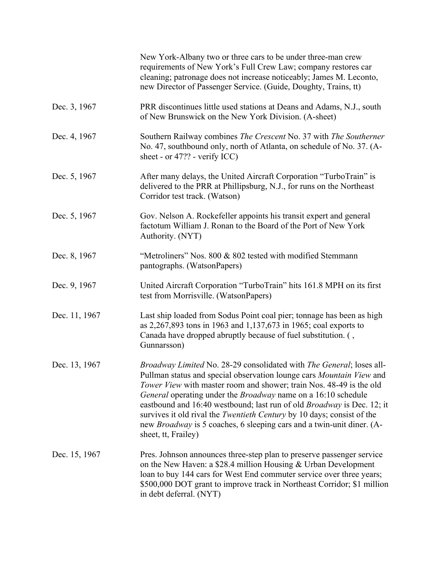|               | New York-Albany two or three cars to be under three-man crew<br>requirements of New York's Full Crew Law; company restores car<br>cleaning; patronage does not increase noticeably; James M. Leconto,<br>new Director of Passenger Service. (Guide, Doughty, Trains, tt)                                                                                                                                                                                                                                                                                      |
|---------------|---------------------------------------------------------------------------------------------------------------------------------------------------------------------------------------------------------------------------------------------------------------------------------------------------------------------------------------------------------------------------------------------------------------------------------------------------------------------------------------------------------------------------------------------------------------|
| Dec. 3, 1967  | PRR discontinues little used stations at Deans and Adams, N.J., south<br>of New Brunswick on the New York Division. (A-sheet)                                                                                                                                                                                                                                                                                                                                                                                                                                 |
| Dec. 4, 1967  | Southern Railway combines The Crescent No. 37 with The Southerner<br>No. 47, southbound only, north of Atlanta, on schedule of No. 37. (A-<br>sheet - or $47$ ?? - verify ICC)                                                                                                                                                                                                                                                                                                                                                                                |
| Dec. 5, 1967  | After many delays, the United Aircraft Corporation "TurboTrain" is<br>delivered to the PRR at Phillipsburg, N.J., for runs on the Northeast<br>Corridor test track. (Watson)                                                                                                                                                                                                                                                                                                                                                                                  |
| Dec. 5, 1967  | Gov. Nelson A. Rockefeller appoints his transit expert and general<br>factotum William J. Ronan to the Board of the Port of New York<br>Authority. (NYT)                                                                                                                                                                                                                                                                                                                                                                                                      |
| Dec. 8, 1967  | "Metroliners" Nos. 800 & 802 tested with modified Stemmann<br>pantographs. (WatsonPapers)                                                                                                                                                                                                                                                                                                                                                                                                                                                                     |
| Dec. 9, 1967  | United Aircraft Corporation "TurboTrain" hits 161.8 MPH on its first<br>test from Morrisville. (WatsonPapers)                                                                                                                                                                                                                                                                                                                                                                                                                                                 |
| Dec. 11, 1967 | Last ship loaded from Sodus Point coal pier; tonnage has been as high<br>as 2,267,893 tons in 1963 and 1,137,673 in 1965; coal exports to<br>Canada have dropped abruptly because of fuel substitution. (,<br>Gunnarsson)                                                                                                                                                                                                                                                                                                                                     |
| Dec. 13, 1967 | Broadway Limited No. 28-29 consolidated with The General; loses all-<br>Pullman status and special observation lounge cars Mountain View and<br>Tower View with master room and shower; train Nos. 48-49 is the old<br>General operating under the <i>Broadway</i> name on a 16:10 schedule<br>eastbound and 16:40 westbound; last run of old <i>Broadway</i> is Dec. 12; it<br>survives it old rival the Twentieth Century by 10 days; consist of the<br>new <i>Broadway</i> is 5 coaches, 6 sleeping cars and a twin-unit diner. (A-<br>sheet, tt, Frailey) |
| Dec. 15, 1967 | Pres. Johnson announces three-step plan to preserve passenger service<br>on the New Haven: a \$28.4 million Housing & Urban Development<br>loan to buy 144 cars for West End commuter service over three years;<br>\$500,000 DOT grant to improve track in Northeast Corridor; \$1 million<br>in debt deferral. (NYT)                                                                                                                                                                                                                                         |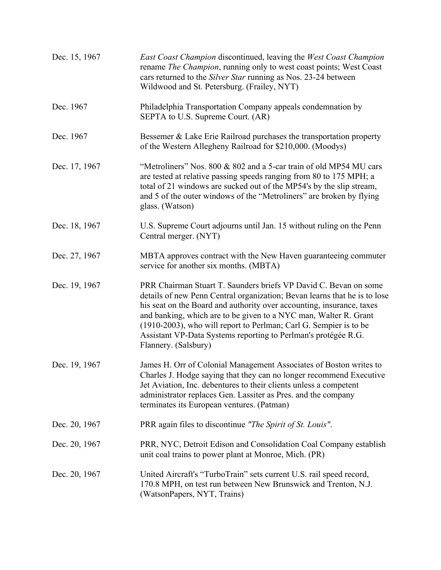| Dec. 15, 1967 | East Coast Champion discontinued, leaving the West Coast Champion<br>rename The Champion, running only to west coast points; West Coast<br>cars returned to the Silver Star running as Nos. 23-24 between<br>Wildwood and St. Petersburg. (Frailey, NYT)                                                                                                                                                                                                  |
|---------------|-----------------------------------------------------------------------------------------------------------------------------------------------------------------------------------------------------------------------------------------------------------------------------------------------------------------------------------------------------------------------------------------------------------------------------------------------------------|
| Dec. 1967     | Philadelphia Transportation Company appeals condemnation by<br>SEPTA to U.S. Supreme Court. (AR)                                                                                                                                                                                                                                                                                                                                                          |
| Dec. 1967     | Bessemer & Lake Erie Railroad purchases the transportation property<br>of the Western Allegheny Railroad for \$210,000. (Moodys)                                                                                                                                                                                                                                                                                                                          |
| Dec. 17, 1967 | "Metroliners" Nos. 800 & 802 and a 5-car train of old MP54 MU cars<br>are tested at relative passing speeds ranging from 80 to 175 MPH; a<br>total of 21 windows are sucked out of the MP54's by the slip stream,<br>and 5 of the outer windows of the "Metroliners" are broken by flying<br>glass. (Watson)                                                                                                                                              |
| Dec. 18, 1967 | U.S. Supreme Court adjourns until Jan. 15 without ruling on the Penn<br>Central merger. (NYT)                                                                                                                                                                                                                                                                                                                                                             |
| Dec. 27, 1967 | MBTA approves contract with the New Haven guaranteeing commuter<br>service for another six months. (MBTA)                                                                                                                                                                                                                                                                                                                                                 |
| Dec. 19, 1967 | PRR Chairman Stuart T. Saunders briefs VP David C. Bevan on some<br>details of new Penn Central organization; Bevan learns that he is to lose<br>his seat on the Board and authority over accounting, insurance, taxes<br>and banking, which are to be given to a NYC man, Walter R. Grant<br>(1910-2003), who will report to Perlman; Carl G. Sempier is to be<br>Assistant VP-Data Systems reporting to Perlman's protégée R.G.<br>Flannery. (Salsbury) |
| Dec. 19, 1967 | James H. Orr of Colonial Management Associates of Boston writes to<br>Charles J. Hodge saying that they can no longer recommend Executive<br>Jet Aviation, Inc. debentures to their clients unless a competent<br>administrator replaces Gen. Lassiter as Pres. and the company<br>terminates its European ventures. (Patman)                                                                                                                             |
| Dec. 20, 1967 | PRR again files to discontinue "The Spirit of St. Louis".                                                                                                                                                                                                                                                                                                                                                                                                 |
| Dec. 20, 1967 | PRR, NYC, Detroit Edison and Consolidation Coal Company establish<br>unit coal trains to power plant at Monroe, Mich. (PR)                                                                                                                                                                                                                                                                                                                                |
| Dec. 20, 1967 | United Aircraft's "TurboTrain" sets current U.S. rail speed record,<br>170.8 MPH, on test run between New Brunswick and Trenton, N.J.<br>(WatsonPapers, NYT, Trains)                                                                                                                                                                                                                                                                                      |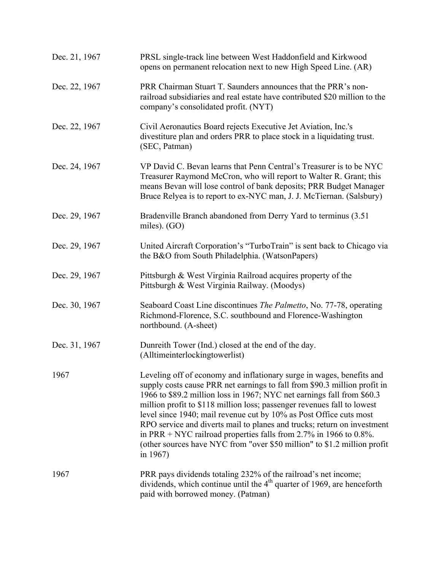| Dec. 21, 1967 | PRSL single-track line between West Haddonfield and Kirkwood<br>opens on permanent relocation next to new High Speed Line. (AR)                                                                                                                                                                                                                                                                                                                                                                                                                                                                                       |
|---------------|-----------------------------------------------------------------------------------------------------------------------------------------------------------------------------------------------------------------------------------------------------------------------------------------------------------------------------------------------------------------------------------------------------------------------------------------------------------------------------------------------------------------------------------------------------------------------------------------------------------------------|
| Dec. 22, 1967 | PRR Chairman Stuart T. Saunders announces that the PRR's non-<br>railroad subsidiaries and real estate have contributed \$20 million to the<br>company's consolidated profit. (NYT)                                                                                                                                                                                                                                                                                                                                                                                                                                   |
| Dec. 22, 1967 | Civil Aeronautics Board rejects Executive Jet Aviation, Inc.'s<br>divestiture plan and orders PRR to place stock in a liquidating trust.<br>(SEC, Patman)                                                                                                                                                                                                                                                                                                                                                                                                                                                             |
| Dec. 24, 1967 | VP David C. Bevan learns that Penn Central's Treasurer is to be NYC<br>Treasurer Raymond McCron, who will report to Walter R. Grant; this<br>means Bevan will lose control of bank deposits; PRR Budget Manager<br>Bruce Relyea is to report to ex-NYC man, J. J. McTiernan. (Salsbury)                                                                                                                                                                                                                                                                                                                               |
| Dec. 29, 1967 | Bradenville Branch abandoned from Derry Yard to terminus (3.51)<br>miles). $(GO)$                                                                                                                                                                                                                                                                                                                                                                                                                                                                                                                                     |
| Dec. 29, 1967 | United Aircraft Corporation's "TurboTrain" is sent back to Chicago via<br>the B&O from South Philadelphia. (WatsonPapers)                                                                                                                                                                                                                                                                                                                                                                                                                                                                                             |
| Dec. 29, 1967 | Pittsburgh & West Virginia Railroad acquires property of the<br>Pittsburgh & West Virginia Railway. (Moodys)                                                                                                                                                                                                                                                                                                                                                                                                                                                                                                          |
| Dec. 30, 1967 | Seaboard Coast Line discontinues The Palmetto, No. 77-78, operating<br>Richmond-Florence, S.C. southbound and Florence-Washington<br>northbound. (A-sheet)                                                                                                                                                                                                                                                                                                                                                                                                                                                            |
| Dec. 31, 1967 | Dunreith Tower (Ind.) closed at the end of the day.<br>(Alltimeinterlockingtowerlist)                                                                                                                                                                                                                                                                                                                                                                                                                                                                                                                                 |
| 1967          | Leveling off of economy and inflationary surge in wages, benefits and<br>supply costs cause PRR net earnings to fall from \$90.3 million profit in<br>1966 to \$89.2 million loss in 1967; NYC net earnings fall from \$60.3<br>million profit to \$118 million loss; passenger revenues fall to lowest<br>level since 1940; mail revenue cut by 10% as Post Office cuts most<br>RPO service and diverts mail to planes and trucks; return on investment<br>in PRR + NYC railroad properties falls from 2.7% in 1966 to 0.8%.<br>(other sources have NYC from "over \$50 million" to \$1.2 million profit<br>in 1967) |
| 1967          | PRR pays dividends totaling 232% of the railroad's net income;<br>dividends, which continue until the $4th$ quarter of 1969, are henceforth<br>paid with borrowed money. (Patman)                                                                                                                                                                                                                                                                                                                                                                                                                                     |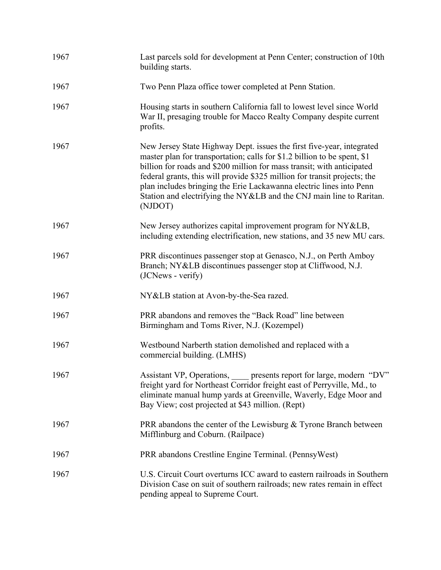| 1967 | Last parcels sold for development at Penn Center; construction of 10th<br>building starts.                                                                                                                                                                                                                                                                                                                                                                         |
|------|--------------------------------------------------------------------------------------------------------------------------------------------------------------------------------------------------------------------------------------------------------------------------------------------------------------------------------------------------------------------------------------------------------------------------------------------------------------------|
| 1967 | Two Penn Plaza office tower completed at Penn Station.                                                                                                                                                                                                                                                                                                                                                                                                             |
| 1967 | Housing starts in southern California fall to lowest level since World<br>War II, presaging trouble for Macco Realty Company despite current<br>profits.                                                                                                                                                                                                                                                                                                           |
| 1967 | New Jersey State Highway Dept. issues the first five-year, integrated<br>master plan for transportation; calls for \$1.2 billion to be spent, \$1<br>billion for roads and \$200 million for mass transit; with anticipated<br>federal grants, this will provide \$325 million for transit projects; the<br>plan includes bringing the Erie Lackawanna electric lines into Penn<br>Station and electrifying the NY&LB and the CNJ main line to Raritan.<br>(NJDOT) |
| 1967 | New Jersey authorizes capital improvement program for NY&LB,<br>including extending electrification, new stations, and 35 new MU cars.                                                                                                                                                                                                                                                                                                                             |
| 1967 | PRR discontinues passenger stop at Genasco, N.J., on Perth Amboy<br>Branch; NY&LB discontinues passenger stop at Cliffwood, N.J.<br>(JCNews - verify)                                                                                                                                                                                                                                                                                                              |
| 1967 | NY&LB station at Avon-by-the-Sea razed.                                                                                                                                                                                                                                                                                                                                                                                                                            |
| 1967 | PRR abandons and removes the "Back Road" line between<br>Birmingham and Toms River, N.J. (Kozempel)                                                                                                                                                                                                                                                                                                                                                                |
| 1967 | Westbound Narberth station demolished and replaced with a<br>commercial building. (LMHS)                                                                                                                                                                                                                                                                                                                                                                           |
| 1967 | Assistant VP, Operations, ____ presents report for large, modern "DV"<br>freight yard for Northeast Corridor freight east of Perryville, Md., to<br>eliminate manual hump yards at Greenville, Waverly, Edge Moor and<br>Bay View; cost projected at \$43 million. (Rept)                                                                                                                                                                                          |
| 1967 | PRR abandons the center of the Lewisburg & Tyrone Branch between<br>Mifflinburg and Coburn. (Railpace)                                                                                                                                                                                                                                                                                                                                                             |
| 1967 | PRR abandons Crestline Engine Terminal. (Pennsy West)                                                                                                                                                                                                                                                                                                                                                                                                              |
| 1967 | U.S. Circuit Court overturns ICC award to eastern railroads in Southern<br>Division Case on suit of southern railroads; new rates remain in effect<br>pending appeal to Supreme Court.                                                                                                                                                                                                                                                                             |